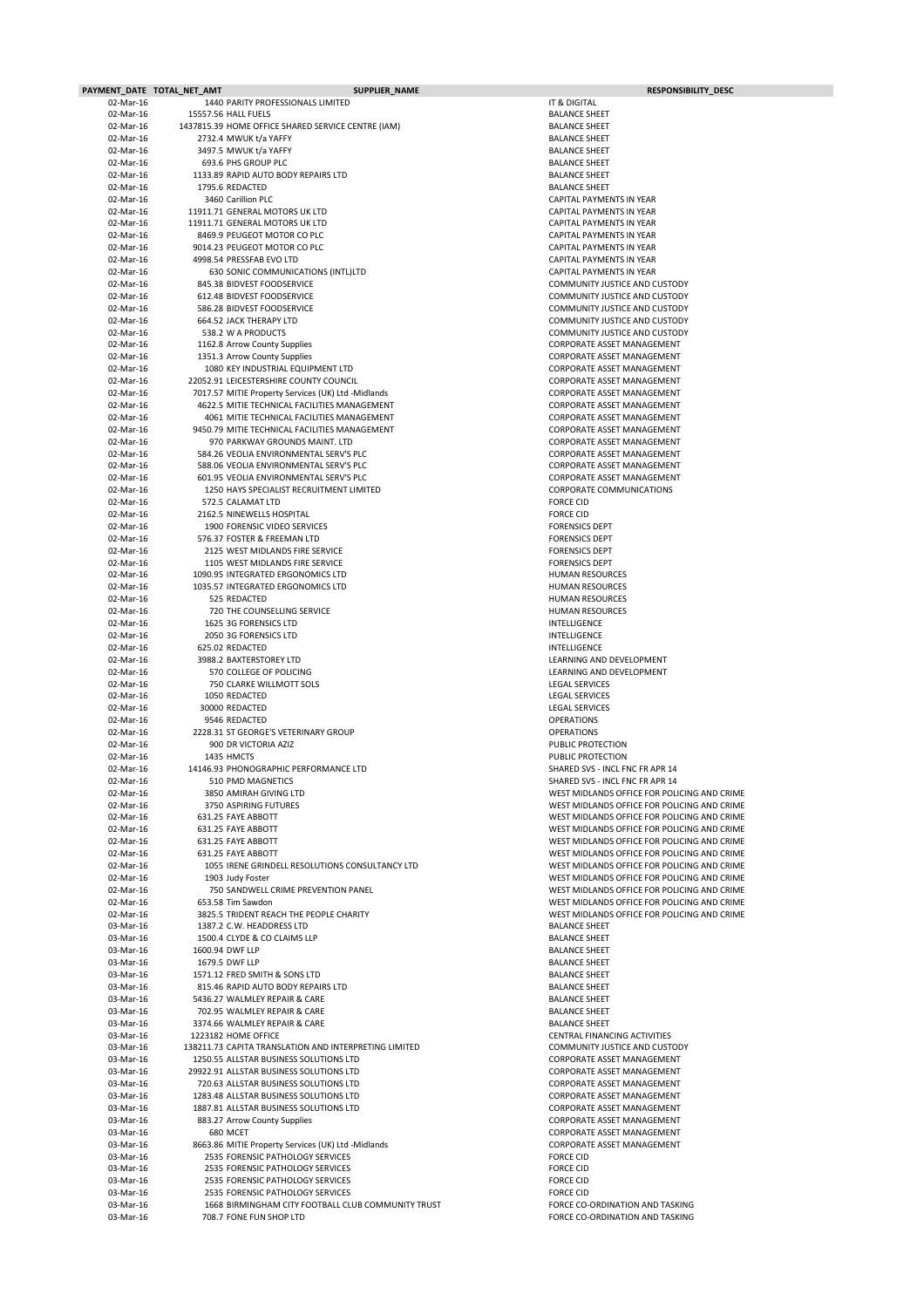|                        | PAYMENT_DATE TOTAL_NET_AMT | SUPPLIER_NAME                                                                     | <b>RESPONSIBILITY_DESC</b>                                                                 |
|------------------------|----------------------------|-----------------------------------------------------------------------------------|--------------------------------------------------------------------------------------------|
| 02-Mar-16              |                            | 1440 PARITY PROFESSIONALS LIMITED                                                 | IT & DIGITAL                                                                               |
| 02-Mar-16              |                            | 15557.56 HALL FUELS                                                               | <b>BALANCE SHEET</b>                                                                       |
| 02-Mar-16              |                            | 1437815.39 HOME OFFICE SHARED SERVICE CENTRE (IAM)                                | <b>BALANCE SHEET</b>                                                                       |
| 02-Mar-16              |                            | 2732.4 MWUK t/a YAFFY                                                             | <b>BALANCE SHEET</b>                                                                       |
| 02-Mar-16              |                            | 3497.5 MWUK t/a YAFFY                                                             | <b>BALANCE SHEET</b>                                                                       |
| 02-Mar-16              |                            | 693.6 PHS GROUP PLC                                                               | <b>BALANCE SHEET</b>                                                                       |
| 02-Mar-16              |                            | 1133.89 RAPID AUTO BODY REPAIRS LTD                                               | <b>BALANCE SHEET</b>                                                                       |
| 02-Mar-16<br>02-Mar-16 |                            | 1795.6 REDACTED<br>3460 Carillion PLC                                             | <b>BALANCE SHEET</b><br><b>CAPITAL PAYMENTS IN YEAR</b>                                    |
| 02-Mar-16              |                            | 11911.71 GENERAL MOTORS UK LTD                                                    | CAPITAL PAYMENTS IN YEAR                                                                   |
| 02-Mar-16              |                            | 11911.71 GENERAL MOTORS UK LTD                                                    | <b>CAPITAL PAYMENTS IN YEAR</b>                                                            |
| 02-Mar-16              |                            | 8469.9 PEUGEOT MOTOR CO PLC                                                       | <b>CAPITAL PAYMENTS IN YEAR</b>                                                            |
| 02-Mar-16              |                            | 9014.23 PEUGEOT MOTOR CO PLC                                                      | <b>CAPITAL PAYMENTS IN YEAR</b>                                                            |
| 02-Mar-16              |                            | 4998.54 PRESSFAB EVO LTD                                                          | <b>CAPITAL PAYMENTS IN YEAR</b>                                                            |
| 02-Mar-16              |                            | 630 SONIC COMMUNICATIONS (INTL)LTD                                                | <b>CAPITAL PAYMENTS IN YEAR</b>                                                            |
| 02-Mar-16              |                            | 845.38 BIDVEST FOODSERVICE                                                        | <b>COMMUNITY JUSTICE AND CUSTODY</b>                                                       |
| 02-Mar-16              |                            | 612.48 BIDVEST FOODSERVICE                                                        | <b>COMMUNITY JUSTICE AND CUSTODY</b>                                                       |
| 02-Mar-16              |                            | 586.28 BIDVEST FOODSERVICE                                                        | <b>COMMUNITY JUSTICE AND CUSTODY</b>                                                       |
| 02-Mar-16<br>02-Mar-16 |                            | <b>664.52 JACK THERAPY LTD</b><br>538.2 W A PRODUCTS                              | <b>COMMUNITY JUSTICE AND CUSTODY</b><br><b>COMMUNITY JUSTICE AND CUSTODY</b>               |
| 02-Mar-16              |                            | 1162.8 Arrow County Supplies                                                      | <b>CORPORATE ASSET MANAGEMENT</b>                                                          |
| 02-Mar-16              |                            | 1351.3 Arrow County Supplies                                                      | <b>CORPORATE ASSET MANAGEMENT</b>                                                          |
| 02-Mar-16              |                            | 1080 KEY INDUSTRIAL EQUIPMENT LTD                                                 | <b>CORPORATE ASSET MANAGEMENT</b>                                                          |
| 02-Mar-16              |                            | 22052.91 LEICESTERSHIRE COUNTY COUNCIL                                            | <b>CORPORATE ASSET MANAGEMENT</b>                                                          |
| 02-Mar-16              |                            | 7017.57 MITIE Property Services (UK) Ltd -Midlands                                | <b>CORPORATE ASSET MANAGEMENT</b>                                                          |
| 02-Mar-16              |                            | 4622.5 MITIE TECHNICAL FACILITIES MANAGEMENT                                      | <b>CORPORATE ASSET MANAGEMENT</b>                                                          |
| 02-Mar-16              |                            | 4061 MITIE TECHNICAL FACILITIES MANAGEMENT                                        | <b>CORPORATE ASSET MANAGEMENT</b>                                                          |
| 02-Mar-16              |                            | 9450.79 MITIE TECHNICAL FACILITIES MANAGEMENT                                     | <b>CORPORATE ASSET MANAGEMENT</b>                                                          |
| 02-Mar-16              |                            | 970 PARKWAY GROUNDS MAINT. LTD                                                    | <b>CORPORATE ASSET MANAGEMENT</b>                                                          |
| 02-Mar-16<br>02-Mar-16 |                            | 584.26 VEOLIA ENVIRONMENTAL SERV'S PLC<br>588.06 VEOLIA ENVIRONMENTAL SERV'S PLC  | CORPORATE ASSET MANAGEMENT<br><b>CORPORATE ASSET MANAGEMENT</b>                            |
| 02-Mar-16              |                            | 601.95 VEOLIA ENVIRONMENTAL SERV'S PLC                                            | <b>CORPORATE ASSET MANAGEMENT</b>                                                          |
| 02-Mar-16              |                            | 1250 HAYS SPECIALIST RECRUITMENT LIMITED                                          | <b>CORPORATE COMMUNICATIONS</b>                                                            |
| 02-Mar-16              |                            | 572.5 CALAMAT LTD                                                                 | <b>FORCE CID</b>                                                                           |
| 02-Mar-16              |                            | 2162.5 NINEWELLS HOSPITAL                                                         | <b>FORCE CID</b>                                                                           |
| 02-Mar-16              |                            | 1900 FORENSIC VIDEO SERVICES                                                      | <b>FORENSICS DEPT</b>                                                                      |
| 02-Mar-16              |                            | 576.37 FOSTER & FREEMAN LTD                                                       | <b>FORENSICS DEPT</b>                                                                      |
| 02-Mar-16              |                            | 2125 WEST MIDLANDS FIRE SERVICE                                                   | <b>FORENSICS DEPT</b>                                                                      |
| 02-Mar-16              |                            | 1105 WEST MIDLANDS FIRE SERVICE                                                   | <b>FORENSICS DEPT</b>                                                                      |
| 02-Mar-16              |                            | 1090.95 INTEGRATED ERGONOMICS LTD                                                 | <b>HUMAN RESOURCES</b>                                                                     |
| 02-Mar-16<br>02-Mar-16 |                            | 1035.57 INTEGRATED ERGONOMICS LTD<br>525 REDACTED                                 | <b>HUMAN RESOURCES</b><br><b>HUMAN RESOURCES</b>                                           |
| 02-Mar-16              |                            | 720 THE COUNSELLING SERVICE                                                       | <b>HUMAN RESOURCES</b>                                                                     |
| 02-Mar-16              |                            | 1625 3G FORENSICS LTD                                                             | <b>INTELLIGENCE</b>                                                                        |
| 02-Mar-16              |                            | 2050 3G FORENSICS LTD                                                             | <b>INTELLIGENCE</b>                                                                        |
| 02-Mar-16              |                            | 625.02 REDACTED                                                                   | <b>INTELLIGENCE</b>                                                                        |
| 02-Mar-16              |                            | 3988.2 BAXTERSTOREY LTD                                                           | LEARNING AND DEVELOPMENT                                                                   |
| 02-Mar-16              |                            | 570 COLLEGE OF POLICING                                                           | LEARNING AND DEVELOPMENT                                                                   |
| 02-Mar-16              |                            | 750 CLARKE WILLMOTT SOLS                                                          | <b>LEGAL SERVICES</b>                                                                      |
| 02-Mar-16<br>02-Mar-16 |                            | 1050 REDACTED<br>30000 REDACTED                                                   | <b>LEGAL SERVICES</b><br><b>LEGAL SERVICES</b>                                             |
| 02-Mar-16              |                            | 9546 REDACTED                                                                     | <b>OPERATIONS</b>                                                                          |
| 02-Mar-16              |                            | 2228.31 ST GEORGE'S VETERINARY GROUP                                              | <b>OPERATIONS</b>                                                                          |
| 02-Mar-16              |                            | 900 DR VICTORIA AZIZ                                                              | PUBLIC PROTECTION                                                                          |
| 02-Mar-16              |                            | 1435 HMCTS                                                                        | PUBLIC PROTECTION                                                                          |
| 02-Mar-16              |                            | 14146.93 PHONOGRAPHIC PERFORMANCE LTD                                             | <b>SHARED SVS - INCL FNC FR APR 14</b>                                                     |
| 02-Mar-16              |                            | 510 PMD MAGNETICS                                                                 | SHARED SVS - INCL FNC FR APR 14                                                            |
| 02-Mar-16              |                            | 3850 AMIRAH GIVING LTD                                                            | WEST MIDLANDS OFFICE FOR POLICING AND CRIME                                                |
| 02-Mar-16              |                            | 3750 ASPIRING FUTURES                                                             | WEST MIDLANDS OFFICE FOR POLICING AND CRIME                                                |
| 02-Mar-16<br>02-Mar-16 |                            | 631.25 FAYE ABBOTT<br>631.25 FAYE ABBOTT                                          | WEST MIDLANDS OFFICE FOR POLICING AND CRIME<br>WEST MIDLANDS OFFICE FOR POLICING AND CRIME |
| 02-Mar-16              |                            | 631.25 FAYE ABBOTT                                                                | WEST MIDLANDS OFFICE FOR POLICING AND CRIME                                                |
| 02-Mar-16              |                            | 631.25 FAYE ABBOTT                                                                | WEST MIDLANDS OFFICE FOR POLICING AND CRIME                                                |
| 02-Mar-16              |                            | 1055 IRENE GRINDELL RESOLUTIONS CONSULTANCY LTD                                   | WEST MIDLANDS OFFICE FOR POLICING AND CRIME                                                |
| 02-Mar-16              |                            | 1903 Judy Foster                                                                  | WEST MIDLANDS OFFICE FOR POLICING AND CRIME                                                |
| 02-Mar-16              |                            | 750 SANDWELL CRIME PREVENTION PANEL                                               | WEST MIDLANDS OFFICE FOR POLICING AND CRIME                                                |
| 02-Mar-16              |                            | 653.58 Tim Sawdon                                                                 | WEST MIDLANDS OFFICE FOR POLICING AND CRIME                                                |
| 02-Mar-16              |                            | 3825.5 TRIDENT REACH THE PEOPLE CHARITY                                           | WEST MIDLANDS OFFICE FOR POLICING AND CRIME                                                |
| 03-Mar-16              |                            | 1387.2 C.W. HEADDRESS LTD                                                         | <b>BALANCE SHEET</b>                                                                       |
| 03-Mar-16              |                            | 1500.4 CLYDE & CO CLAIMS LLP                                                      | <b>BALANCE SHEET</b>                                                                       |
| 03-Mar-16<br>03-Mar-16 |                            | 1600.94 DWF LLP<br>1679.5 DWF LLP                                                 | <b>BALANCE SHEET</b><br><b>BALANCE SHEET</b>                                               |
| 03-Mar-16              |                            | 1571.12 FRED SMITH & SONS LTD                                                     | <b>BALANCE SHEET</b>                                                                       |
| 03-Mar-16              |                            | 815.46 RAPID AUTO BODY REPAIRS LTD                                                | <b>BALANCE SHEET</b>                                                                       |
| 03-Mar-16              |                            | 5436.27 WALMLEY REPAIR & CARE                                                     | <b>BALANCE SHEET</b>                                                                       |
| 03-Mar-16              |                            | 702.95 WALMLEY REPAIR & CARE                                                      | <b>BALANCE SHEET</b>                                                                       |
| 03-Mar-16              |                            | 3374.66 WALMLEY REPAIR & CARE                                                     | <b>BALANCE SHEET</b>                                                                       |
| 03-Mar-16              |                            | 1223182 HOME OFFICE                                                               | CENTRAL FINANCING ACTIVITIES                                                               |
| 03-Mar-16              |                            | 138211.73 CAPITA TRANSLATION AND INTERPRETING LIMITED                             | <b>COMMUNITY JUSTICE AND CUSTODY</b>                                                       |
| 03-Mar-16<br>03-Mar-16 |                            | 1250.55 ALLSTAR BUSINESS SOLUTIONS LTD<br>29922.91 ALLSTAR BUSINESS SOLUTIONS LTD | <b>CORPORATE ASSET MANAGEMENT</b><br><b>CORPORATE ASSET MANAGEMENT</b>                     |
| 03-Mar-16              |                            | 720.63 ALLSTAR BUSINESS SOLUTIONS LTD                                             | <b>CORPORATE ASSET MANAGEMENT</b>                                                          |
| 03-Mar-16              |                            | 1283.48 ALLSTAR BUSINESS SOLUTIONS LTD                                            | <b>CORPORATE ASSET MANAGEMENT</b>                                                          |
| 03-Mar-16              |                            | 1887.81 ALLSTAR BUSINESS SOLUTIONS LTD                                            | <b>CORPORATE ASSET MANAGEMENT</b>                                                          |
| 03-Mar-16              |                            | 883.27 Arrow County Supplies                                                      | <b>CORPORATE ASSET MANAGEMENT</b>                                                          |
| 03-Mar-16              |                            | 680 MCET                                                                          | <b>CORPORATE ASSET MANAGEMENT</b>                                                          |
| 03-Mar-16              |                            | 8663.86 MITIE Property Services (UK) Ltd -Midlands                                | <b>CORPORATE ASSET MANAGEMENT</b>                                                          |
| 03-Mar-16              |                            | 2535 FORENSIC PATHOLOGY SERVICES                                                  | <b>FORCE CID</b>                                                                           |
| 03-Mar-16              |                            | 2535 FORENSIC PATHOLOGY SERVICES                                                  | <b>FORCE CID</b>                                                                           |
| 03-Mar-16<br>03-Mar-16 |                            | 2535 FORENSIC PATHOLOGY SERVICES<br>2535 FORENSIC PATHOLOGY SERVICES              | <b>FORCE CID</b><br><b>FORCE CID</b>                                                       |
| 03-Mar-16              |                            | 1668 BIRMINGHAM CITY FOOTBALL CLUB COMMUNITY TRUST                                | FORCE CO-ORDINATION AND TASKING                                                            |
| 03-Mar-16              |                            | 708.7 FONE FUN SHOP LTD                                                           | FORCE CO-ORDINATION AND TASKING                                                            |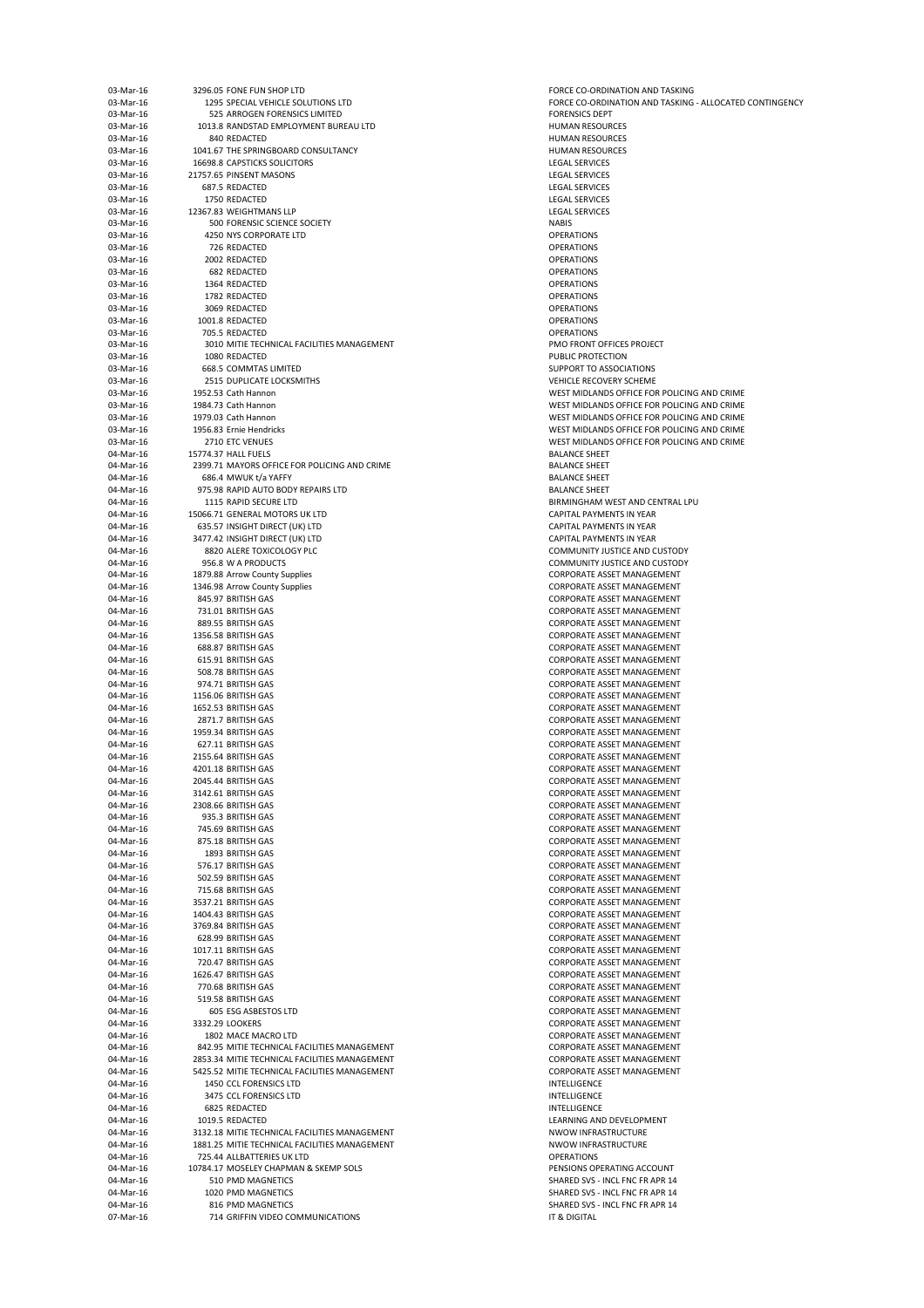| 03-Mar-16 | 3296.05 FONE FUN SHOP LTD                     | <b>FORCE CO-ORDIN</b>  |
|-----------|-----------------------------------------------|------------------------|
| 03-Mar-16 | 1295 SPECIAL VEHICLE SOLUTIONS LTD            | <b>FORCE CO-ORDIN</b>  |
|           |                                               |                        |
| 03-Mar-16 | 525 ARROGEN FORENSICS LIMITED                 | <b>FORENSICS DEPT</b>  |
| 03-Mar-16 | 1013.8 RANDSTAD EMPLOYMENT BUREAU LTD         | <b>HUMAN RESOUR</b>    |
| 03-Mar-16 | 840 REDACTED                                  | <b>HUMAN RESOUR</b>    |
| 03-Mar-16 | 1041.67 THE SPRINGBOARD CONSULTANCY           | <b>HUMAN RESOUR</b>    |
| 03-Mar-16 | <b>16698.8 CAPSTICKS SOLICITORS</b>           | <b>LEGAL SERVICES</b>  |
| 03-Mar-16 | 21757.65 PINSENT MASONS                       | <b>LEGAL SERVICES</b>  |
|           |                                               |                        |
| 03-Mar-16 | 687.5 REDACTED                                | <b>LEGAL SERVICES</b>  |
| 03-Mar-16 | 1750 REDACTED                                 | <b>LEGAL SERVICES</b>  |
| 03-Mar-16 | 12367.83 WEIGHTMANS LLP                       | <b>LEGAL SERVICES</b>  |
| 03-Mar-16 | 500 FORENSIC SCIENCE SOCIETY                  | <b>NABIS</b>           |
| 03-Mar-16 | 4250 NYS CORPORATE LTD                        | <b>OPERATIONS</b>      |
|           |                                               |                        |
| 03-Mar-16 | 726 REDACTED                                  | <b>OPERATIONS</b>      |
| 03-Mar-16 | 2002 REDACTED                                 | <b>OPERATIONS</b>      |
| 03-Mar-16 | 682 REDACTED                                  | <b>OPERATIONS</b>      |
| 03-Mar-16 | 1364 REDACTED                                 | <b>OPERATIONS</b>      |
|           |                                               |                        |
| 03-Mar-16 | 1782 REDACTED                                 | <b>OPERATIONS</b>      |
| 03-Mar-16 | 3069 REDACTED                                 | <b>OPERATIONS</b>      |
| 03-Mar-16 | 1001.8 REDACTED                               | <b>OPERATIONS</b>      |
| 03-Mar-16 | 705.5 REDACTED                                | <b>OPERATIONS</b>      |
| 03-Mar-16 | 3010 MITIE TECHNICAL FACILITIES MANAGEMENT    | PMO FRONT OFF          |
| 03-Mar-16 |                                               |                        |
|           | 1080 REDACTED                                 | <b>PUBLIC PROTECT</b>  |
| 03-Mar-16 | <b>668.5 COMMTAS LIMITED</b>                  | <b>SUPPORT TO ASS</b>  |
| 03-Mar-16 | 2515 DUPLICATE LOCKSMITHS                     | <b>VEHICLE RECOVE</b>  |
| 03-Mar-16 | 1952.53 Cath Hannon                           | <b>WEST MIDLANDS</b>   |
| 03-Mar-16 | 1984.73 Cath Hannon                           | <b>WEST MIDLANDS</b>   |
|           |                                               |                        |
| 03-Mar-16 | 1979.03 Cath Hannon                           | <b>WEST MIDLANDS</b>   |
| 03-Mar-16 | 1956.83 Ernie Hendricks                       | <b>WEST MIDLANDS</b>   |
| 03-Mar-16 | 2710 ETC VENUES                               | <b>WEST MIDLANDS</b>   |
| 04-Mar-16 | 15774.37 HALL FUELS                           | <b>BALANCE SHEET</b>   |
| 04-Mar-16 | 2399.71 MAYORS OFFICE FOR POLICING AND CRIME  | <b>BALANCE SHEET</b>   |
|           |                                               |                        |
| 04-Mar-16 | 686.4 MWUK t/a YAFFY                          | <b>BALANCE SHEET</b>   |
| 04-Mar-16 | 975.98 RAPID AUTO BODY REPAIRS LTD            | <b>BALANCE SHEET</b>   |
| 04-Mar-16 | 1115 RAPID SECURE LTD                         | <b>BIRMINGHAM W</b>    |
| 04-Mar-16 | 15066.71 GENERAL MOTORS UK LTD                | <b>CAPITAL PAYMEI</b>  |
| 04-Mar-16 | 635.57 INSIGHT DIRECT (UK) LTD                | <b>CAPITAL PAYMEN</b>  |
|           |                                               |                        |
| 04-Mar-16 | 3477.42 INSIGHT DIRECT (UK) LTD               | <b>CAPITAL PAYMEI</b>  |
| 04-Mar-16 | 8820 ALERE TOXICOLOGY PLC                     | <b>COMMUNITY JUS</b>   |
| 04-Mar-16 | 956.8 W A PRODUCTS                            | <b>COMMUNITY JUS</b>   |
| 04-Mar-16 | 1879.88 Arrow County Supplies                 | <b>CORPORATE ASS</b>   |
|           |                                               |                        |
| 04-Mar-16 | 1346.98 Arrow County Supplies                 | <b>CORPORATE ASS</b>   |
| 04-Mar-16 | 845.97 BRITISH GAS                            | <b>CORPORATE ASS</b>   |
| 04-Mar-16 | 731.01 BRITISH GAS                            | <b>CORPORATE ASS</b>   |
| 04-Mar-16 | 889.55 BRITISH GAS                            | <b>CORPORATE ASS</b>   |
| 04-Mar-16 | 1356.58 BRITISH GAS                           | <b>CORPORATE ASS</b>   |
|           |                                               |                        |
| 04-Mar-16 | 688.87 BRITISH GAS                            | <b>CORPORATE ASS</b>   |
| 04-Mar-16 | 615.91 BRITISH GAS                            | <b>CORPORATE ASS</b>   |
| 04-Mar-16 | 508.78 BRITISH GAS                            | <b>CORPORATE ASS</b>   |
| 04-Mar-16 | 974.71 BRITISH GAS                            | <b>CORPORATE ASS</b>   |
|           |                                               |                        |
| 04-Mar-16 | 1156.06 BRITISH GAS                           | <b>CORPORATE ASS</b>   |
| 04-Mar-16 | 1652.53 BRITISH GAS                           | <b>CORPORATE ASS</b>   |
| 04-Mar-16 | 2871.7 BRITISH GAS                            | <b>CORPORATE ASS</b>   |
| 04-Mar-16 | 1959.34 BRITISH GAS                           | <b>CORPORATE ASS</b>   |
| 04-Mar-16 | 627.11 BRITISH GAS                            | <b>CORPORATE ASS</b>   |
|           |                                               |                        |
| 04-Mar-16 | 2155.64 BRITISH GAS                           | <b>CORPORATE ASS</b>   |
| 04-Mar-16 | 4201.18 BRITISH GAS                           | <b>CORPORATE ASS</b>   |
| 04-Mar-16 | 2045.44 BRITISH GAS                           | <b>CORPORATE ASS</b>   |
| 04-Mar-16 | 3142.61 BRITISH GAS                           | <b>CORPORATE ASS</b>   |
| 04-Mar-16 | 2308.66 BRITISH GAS                           | <b>CORPORATE ASS</b>   |
|           |                                               |                        |
| 04-Mar-16 | 935.3 BRITISH GAS                             | <b>CORPORATE ASS</b>   |
| 04-Mar-16 | 745.69 BRITISH GAS                            | <b>CORPORATE ASS</b>   |
| 04-Mar-16 | 875.18 BRITISH GAS                            | <b>CORPORATE ASS</b>   |
| 04-Mar-16 | 1893 BRITISH GAS                              | <b>CORPORATE ASS</b>   |
| 04-Mar-16 | 576.17 BRITISH GAS                            | <b>CORPORATE ASS</b>   |
|           |                                               |                        |
| 04-Mar-16 | 502.59 BRITISH GAS                            | <b>CORPORATE ASS</b>   |
| 04-Mar-16 | 715.68 BRITISH GAS                            | <b>CORPORATE ASS</b>   |
| 04-Mar-16 | 3537.21 BRITISH GAS                           | <b>CORPORATE ASS</b>   |
| 04-Mar-16 | 1404.43 BRITISH GAS                           | <b>CORPORATE ASS</b>   |
| 04-Mar-16 | 3769.84 BRITISH GAS                           | <b>CORPORATE ASS</b>   |
|           |                                               |                        |
| 04-Mar-16 | 628.99 BRITISH GAS                            | <b>CORPORATE ASS</b>   |
| 04-Mar-16 | 1017.11 BRITISH GAS                           | <b>CORPORATE ASS</b>   |
| 04-Mar-16 | 720.47 BRITISH GAS                            | <b>CORPORATE ASS</b>   |
| 04-Mar-16 | 1626.47 BRITISH GAS                           | <b>CORPORATE ASS</b>   |
| 04-Mar-16 | 770.68 BRITISH GAS                            | <b>CORPORATE ASS</b>   |
|           |                                               |                        |
| 04-Mar-16 | 519.58 BRITISH GAS                            | <b>CORPORATE ASS</b>   |
| 04-Mar-16 | 605 ESG ASBESTOS LTD                          | <b>CORPORATE ASS</b>   |
| 04-Mar-16 | 3332.29 LOOKERS                               | <b>CORPORATE ASS</b>   |
| 04-Mar-16 | 1802 MACE MACRO LTD                           | <b>CORPORATE ASS</b>   |
| 04-Mar-16 | 842.95 MITIE TECHNICAL FACILITIES MANAGEMENT  | <b>CORPORATE ASS</b>   |
|           |                                               |                        |
| 04-Mar-16 | 2853.34 MITIE TECHNICAL FACILITIES MANAGEMENT | <b>CORPORATE ASS</b>   |
| 04-Mar-16 | 5425.52 MITIE TECHNICAL FACILITIES MANAGEMENT | <b>CORPORATE ASS</b>   |
| 04-Mar-16 | 1450 CCL FORENSICS LTD                        | <b>INTELLIGENCE</b>    |
| 04-Mar-16 | 3475 CCL FORENSICS LTD                        | <b>INTELLIGENCE</b>    |
|           |                                               |                        |
| 04-Mar-16 | 6825 REDACTED                                 | <b>INTELLIGENCE</b>    |
| 04-Mar-16 | 1019.5 REDACTED                               | <b>LEARNING AND I</b>  |
| 04-Mar-16 | 3132.18 MITIE TECHNICAL FACILITIES MANAGEMENT | <b>NWOW INFRAST</b>    |
| 04-Mar-16 | 1881.25 MITIE TECHNICAL FACILITIES MANAGEMENT | <b>NWOW INFRAST</b>    |
| 04-Mar-16 | 725.44 ALLBATTERIES UK LTD                    | <b>OPERATIONS</b>      |
|           |                                               |                        |
| 04-Mar-16 | 10784.17 MOSELEY CHAPMAN & SKEMP SOLS         | PENSIONS OPERA         |
| 04-Mar-16 | 510 PMD MAGNETICS                             | <b>SHARED SVS - IN</b> |
| 04-Mar-16 | 1020 PMD MAGNETICS                            | <b>SHARED SVS - IN</b> |
| 04-Mar-16 | 816 PMD MAGNETICS                             | <b>SHARED SVS - IN</b> |
| 07-Mar-16 | 714 GRIFFIN VIDEO COMMUNICATIONS              | IT & DIGITAL           |
|           |                                               |                        |

FORCE CO-ORDINATION AND TASKING FORCE CO-ORDINATION AND TASKING - ALLOCATED CONTINGENCY HUMAN RESOURCES HUMAN RESOURCES HUMAN RESOURCES LEGAL SERVICES LEGAL SERVICES LEGAL SERVICES PMO FRONT OFFICES PROJECT PUBLIC PROTECTION SUPPORT TO ASSOCIATIONS VEHICLE RECOVERY SCHEME WEST MIDLANDS OFFICE FOR POLICING AND CRIME WEST MIDLANDS OFFICE FOR POLICING AND CRIME WEST MIDLANDS OFFICE FOR POLICING AND CRIME WEST MIDLANDS OFFICE FOR POLICING AND CRIME WEST MIDLANDS OFFICE FOR POLICING AND CRIME BALANCE SHEET BALANCE SHEET BALANCE SHEET BALANCE SHEET BIRMINGHAM WEST AND CENTRAL LPU CAPITAL PAYMENTS IN YEAR CAPITAL PAYMENTS IN YEAR CAPITAL PAYMENTS IN YEAR COMMUNITY JUSTICE AND CUSTODY COMMUNITY JUSTICE AND CUSTODY CORPORATE ASSET MANAGEMENT CORPORATE ASSET MANAGEMENT CORPORATE ASSET MANAGEMENT CORPORATE ASSET MANAGEMENT CORPORATE ASSET MANAGEMENT CORPORATE ASSET MANAGEMENT CORPORATE ASSET MANAGEMENT CORPORATE ASSET MANAGEMENT CORPORATE ASSET MANAGEMENT CORPORATE ASSET MANAGEMENT CORPORATE ASSET MANAGEMENT CORPORATE ASSET MANAGEMENT CORPORATE ASSET MANAGEMENT CORPORATE ASSET MANAGEMENT CORPORATE ASSET MANAGEMENT CORPORATE ASSET MANAGEMENT CORPORATE ASSET MANAGEMENT CORPORATE ASSET MANAGEMENT CORPORATE ASSET MANAGEMENT CORPORATE ASSET MANAGEMENT CORPORATE ASSET MANAGEMENT CORPORATE ASSET MANAGEMENT CORPORATE ASSET MANAGEMENT CORPORATE ASSET MANAGEMENT CORPORATE ASSET MANAGEMENT CORPORATE ASSET MANAGEMENT CORPORATE ASSET MANAGEMENT CORPORATE ASSET MANAGEMENT CORPORATE ASSET MANAGEMENT CORPORATE ASSET MANAGEMENT CORPORATE ASSET MANAGEMENT CORPORATE ASSET MANAGEMENT CORPORATE ASSET MANAGEMENT CORPORATE ASSET MANAGEMENT CORPORATE ASSET MANAGEMENT CORPORATE ASSET MANAGEMENT CORPORATE ASSET MANAGEMENT CORPORATE ASSET MANAGEMENT CORPORATE ASSET MANAGEMENT CORPORATE ASSET MANAGEMENT CORPORATE ASSET MANAGEMENT CORPORATE ASSET MANAGEMENT INTELLIGENCE LEARNING AND DEVELOPMENT NWOW INFRASTRUCTURE NWOW INFRASTRUCTURE PENSIONS OPERATING ACCOUNT SHARED SVS - INCL FNC FR APR 14 SHARED SVS - INCL FNC FR APR 14 SHARED SVS - INCL FNC FR APR 14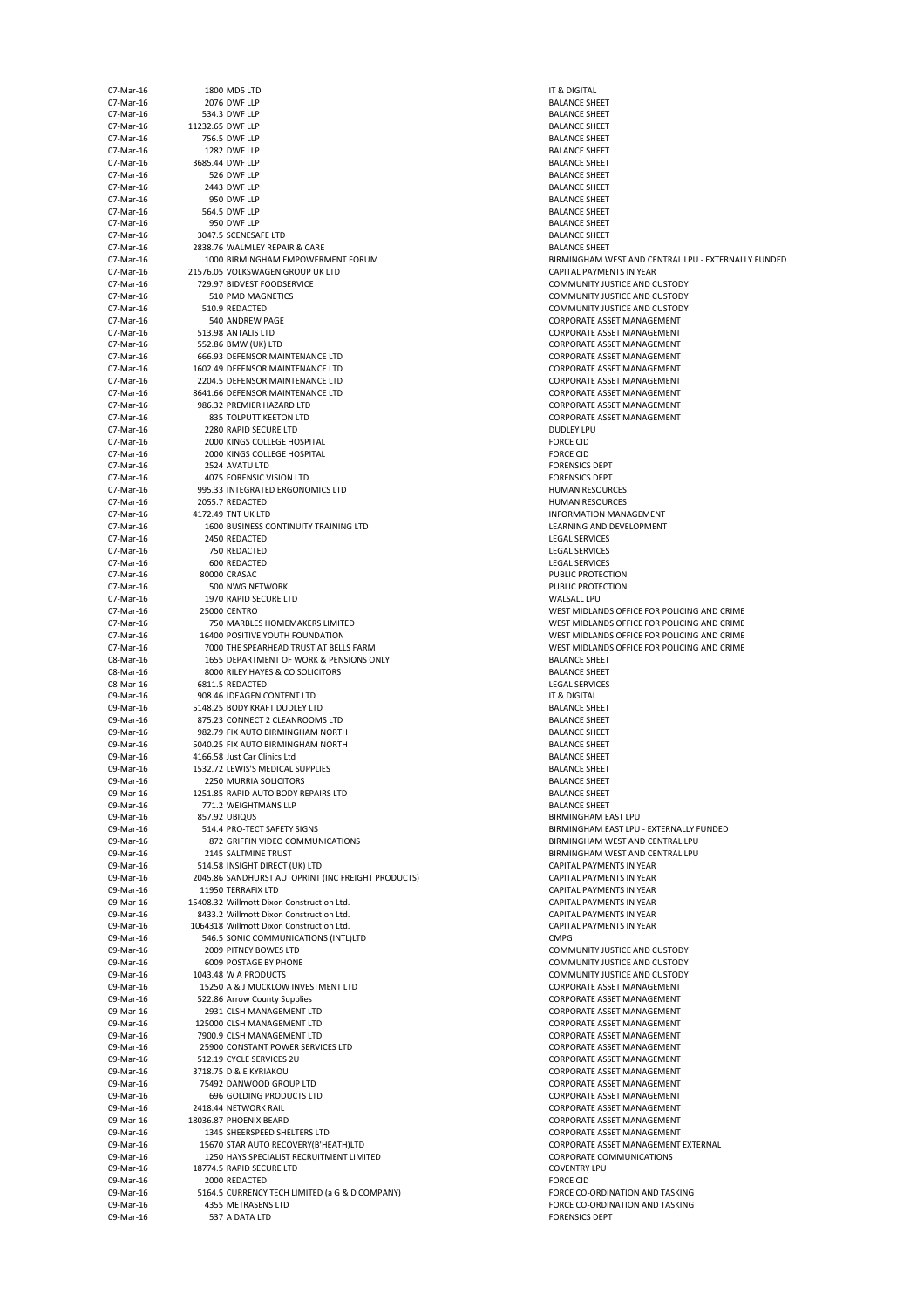| 07-Mar-16              |                  | 1800 MD5 LTD                                                                         | IT & DIGITAL                                   |
|------------------------|------------------|--------------------------------------------------------------------------------------|------------------------------------------------|
| 07-Mar-16<br>07-Mar-16 |                  | 2076 DWF LLP<br>534.3 DWF LLP                                                        | <b>BALANCE SHEET</b><br><b>BALANCE SHEET</b>   |
| 07-Mar-16              | 11232.65 DWF LLP |                                                                                      | <b>BALANCE SHEET</b>                           |
| 07-Mar-16<br>07-Mar-16 |                  | 756.5 DWF LLP<br>1282 DWF LLP                                                        | <b>BALANCE SHEET</b><br><b>BALANCE SHEET</b>   |
| 07-Mar-16              |                  | 3685.44 DWF LLP                                                                      | <b>BALANCE SHEET</b>                           |
| 07-Mar-16              |                  | 526 DWF LLP                                                                          | <b>BALANCE SHEET</b>                           |
| 07-Mar-16<br>07-Mar-16 |                  | 2443 DWF LLP                                                                         | <b>BALANCE SHEET</b><br><b>BALANCE SHEET</b>   |
| 07-Mar-16              |                  | 950 DWF LLP<br>564.5 DWF LLP                                                         | <b>BALANCE SHEET</b>                           |
| 07-Mar-16              |                  | 950 DWF LLP                                                                          | <b>BALANCE SHEET</b>                           |
| 07-Mar-16              |                  | 3047.5 SCENESAFE LTD                                                                 | <b>BALANCE SHEET</b>                           |
| 07-Mar-16<br>07-Mar-16 |                  | 2838.76 WALMLEY REPAIR & CARE<br>1000 BIRMINGHAM EMPOWERMENT FORUM                   | <b>BALANCE SHEET</b><br><b>BIRMINGHAM V</b>    |
| 07-Mar-16              |                  | 21576.05 VOLKSWAGEN GROUP UK LTD                                                     | <b>CAPITAL PAYME</b>                           |
| 07-Mar-16              |                  | 729.97 BIDVEST FOODSERVICE                                                           | <b>COMMUNITY JU</b>                            |
| 07-Mar-16<br>07-Mar-16 |                  | 510 PMD MAGNETICS<br>510.9 REDACTED                                                  | <b>COMMUNITY JU</b><br><b>COMMUNITY JU</b>     |
| 07-Mar-16              |                  | 540 ANDREW PAGE                                                                      | <b>CORPORATE ASS</b>                           |
| 07-Mar-16              |                  | 513.98 ANTALIS LTD                                                                   | <b>CORPORATE ASS</b>                           |
| 07-Mar-16<br>07-Mar-16 |                  | 552.86 BMW (UK) LTD<br>666.93 DEFENSOR MAINTENANCE LTD                               | <b>CORPORATE ASS</b><br><b>CORPORATE ASS</b>   |
| 07-Mar-16              |                  | 1602.49 DEFENSOR MAINTENANCE LTD                                                     | <b>CORPORATE ASS</b>                           |
| 07-Mar-16              |                  | 2204.5 DEFENSOR MAINTENANCE LTD                                                      | <b>CORPORATE ASS</b>                           |
| 07-Mar-16<br>07-Mar-16 |                  | 8641.66 DEFENSOR MAINTENANCE LTD<br>986.32 PREMIER HAZARD LTD                        | <b>CORPORATE ASS</b><br><b>CORPORATE ASS</b>   |
| 07-Mar-16              |                  | 835 TOLPUTT KEETON LTD                                                               | <b>CORPORATE ASS</b>                           |
| 07-Mar-16              |                  | 2280 RAPID SECURE LTD                                                                | <b>DUDLEY LPU</b>                              |
| 07-Mar-16<br>07-Mar-16 |                  | 2000 KINGS COLLEGE HOSPITAL<br>2000 KINGS COLLEGE HOSPITAL                           | <b>FORCE CID</b><br><b>FORCE CID</b>           |
| 07-Mar-16              |                  | 2524 AVATU LTD                                                                       | <b>FORENSICS DEPT</b>                          |
| 07-Mar-16              |                  | 4075 FORENSIC VISION LTD                                                             | <b>FORENSICS DEPT</b>                          |
| 07-Mar-16              |                  | 995.33 INTEGRATED ERGONOMICS LTD                                                     | <b>HUMAN RESOU</b><br><b>HUMAN RESOUI</b>      |
| 07-Mar-16<br>07-Mar-16 |                  | 2055.7 REDACTED<br>4172.49 TNT UK LTD                                                | <b>INFORMATION</b>                             |
| 07-Mar-16              |                  | 1600 BUSINESS CONTINUITY TRAINING LTD                                                | <b>LEARNING AND</b>                            |
| 07-Mar-16              |                  | 2450 REDACTED                                                                        | <b>LEGAL SERVICES</b>                          |
| 07-Mar-16<br>07-Mar-16 |                  | 750 REDACTED<br>600 REDACTED                                                         | <b>LEGAL SERVICES</b><br><b>LEGAL SERVICES</b> |
| 07-Mar-16              |                  | 80000 CRASAC                                                                         | <b>PUBLIC PROTECT</b>                          |
| 07-Mar-16              |                  | 500 NWG NETWORK                                                                      | PUBLIC PROTECT                                 |
| 07-Mar-16<br>07-Mar-16 |                  | 1970 RAPID SECURE LTD<br><b>25000 CENTRO</b>                                         | <b>WALSALL LPU</b><br><b>WEST MIDLAND</b>      |
| 07-Mar-16              |                  | 750 MARBLES HOMEMAKERS LIMITED                                                       | <b>WEST MIDLAND</b>                            |
| 07-Mar-16              |                  | 16400 POSITIVE YOUTH FOUNDATION                                                      | <b>WEST MIDLAND</b>                            |
| 07-Mar-16<br>08-Mar-16 |                  | 7000 THE SPEARHEAD TRUST AT BELLS FARM<br>1655 DEPARTMENT OF WORK & PENSIONS ONLY    | <b>WEST MIDLAND</b><br><b>BALANCE SHEET</b>    |
| 08-Mar-16              |                  | 8000 RILEY HAYES & CO SOLICITORS                                                     | <b>BALANCE SHEET</b>                           |
| 08-Mar-16              |                  | 6811.5 REDACTED                                                                      | <b>LEGAL SERVICES</b>                          |
| 09-Mar-16<br>09-Mar-16 |                  | 908.46 IDEAGEN CONTENT LTD<br>5148.25 BODY KRAFT DUDLEY LTD                          | IT & DIGITAL<br><b>BALANCE SHEET</b>           |
| 09-Mar-16              |                  | 875.23 CONNECT 2 CLEANROOMS LTD                                                      | <b>BALANCE SHEET</b>                           |
| 09-Mar-16              |                  | 982.79 FIX AUTO BIRMINGHAM NORTH                                                     | <b>BALANCE SHEET</b>                           |
| 09-Mar-16<br>09-Mar-16 |                  | 5040.25 FIX AUTO BIRMINGHAM NORTH<br>4166.58 Just Car Clinics Ltd                    | <b>BALANCE SHEET</b><br><b>BALANCE SHEET</b>   |
| 09-Mar-16              |                  | 1532.72 LEWIS'S MEDICAL SUPPLIES                                                     |                                                |
| 09-Mar-16              |                  |                                                                                      | <b>BALANCE SHEET</b>                           |
| 09-Mar-16              |                  | 2250 MURRIA SOLICITORS                                                               | <b>BALANCE SHEET</b>                           |
|                        |                  | 1251.85 RAPID AUTO BODY REPAIRS LTD                                                  | <b>BALANCE SHEET</b>                           |
| 09-Mar-16<br>09-Mar-16 |                  | 771.2 WEIGHTMANS LLP<br>857.92 UBIQUS                                                | <b>BALANCE SHEET</b><br><b>BIRMINGHAM E</b>    |
| 09-Mar-16              |                  | 514.4 PRO-TECT SAFETY SIGNS                                                          | <b>BIRMINGHAM E</b>                            |
| 09-Mar-16              |                  | 872 GRIFFIN VIDEO COMMUNICATIONS                                                     | <b>BIRMINGHAM V</b>                            |
| 09-Mar-16<br>09-Mar-16 |                  | 2145 SALTMINE TRUST<br>514.58 INSIGHT DIRECT (UK) LTD                                | <b>BIRMINGHAM V</b><br><b>CAPITAL PAYME</b>    |
| 09-Mar-16              |                  | 2045.86 SANDHURST AUTOPRINT (INC FREIGHT PRODUCTS)                                   | <b>CAPITAL PAYME</b>                           |
| 09-Mar-16              |                  | 11950 TERRAFIX LTD                                                                   | <b>CAPITAL PAYME</b>                           |
| 09-Mar-16<br>09-Mar-16 |                  | 15408.32 Willmott Dixon Construction Ltd.<br>8433.2 Willmott Dixon Construction Ltd. | <b>CAPITAL PAYME</b><br><b>CAPITAL PAYME</b>   |
| 09-Mar-16              |                  | 1064318 Willmott Dixon Construction Ltd.                                             | <b>CAPITAL PAYME</b>                           |
| 09-Mar-16              |                  | 546.5 SONIC COMMUNICATIONS (INTL)LTD                                                 | <b>CMPG</b>                                    |
| 09-Mar-16<br>09-Mar-16 |                  | 2009 PITNEY BOWES LTD<br><b>6009 POSTAGE BY PHONE</b>                                | <b>COMMUNITY JU</b><br><b>COMMUNITY JU</b>     |
| 09-Mar-16              |                  | 1043.48 W A PRODUCTS                                                                 | <b>COMMUNITY JU</b>                            |
| 09-Mar-16              |                  | 15250 A & J MUCKLOW INVESTMENT LTD                                                   | <b>CORPORATE ASS</b>                           |
| 09-Mar-16<br>09-Mar-16 |                  | 522.86 Arrow County Supplies<br>2931 CLSH MANAGEMENT LTD                             | <b>CORPORATE ASS</b><br><b>CORPORATE ASS</b>   |
| 09-Mar-16              |                  | 125000 CLSH MANAGEMENT LTD                                                           | <b>CORPORATE ASS</b>                           |
| 09-Mar-16              |                  | 7900.9 CLSH MANAGEMENT LTD                                                           | <b>CORPORATE ASS</b>                           |
| 09-Mar-16<br>09-Mar-16 |                  | 25900 CONSTANT POWER SERVICES LTD<br>512.19 CYCLE SERVICES 2U                        | <b>CORPORATE ASS</b><br><b>CORPORATE ASS</b>   |
| 09-Mar-16              |                  | 3718.75 D & E KYRIAKOU                                                               | <b>CORPORATE ASS</b>                           |
| 09-Mar-16              |                  | 75492 DANWOOD GROUP LTD                                                              | <b>CORPORATE ASS</b>                           |
| 09-Mar-16<br>09-Mar-16 |                  | 696 GOLDING PRODUCTS LTD<br>2418.44 NETWORK RAIL                                     | <b>CORPORATE ASS</b><br><b>CORPORATE ASS</b>   |
| 09-Mar-16              |                  | 18036.87 PHOENIX BEARD                                                               | <b>CORPORATE ASS</b>                           |
| 09-Mar-16              |                  | 1345 SHEERSPEED SHELTERS LTD                                                         | <b>CORPORATE ASS</b>                           |
| 09-Mar-16<br>09-Mar-16 |                  | 15670 STAR AUTO RECOVERY(B'HEATH)LTD<br>1250 HAYS SPECIALIST RECRUITMENT LIMITED     | <b>CORPORATE ASS</b><br><b>CORPORATE CO</b>    |
| 09-Mar-16              |                  | 18774.5 RAPID SECURE LTD                                                             | <b>COVENTRY LPU</b>                            |
| 09-Mar-16              |                  | 2000 REDACTED                                                                        | <b>FORCE CID</b>                               |
| 09-Mar-16<br>09-Mar-16 |                  | 5164.5 CURRENCY TECH LIMITED (a G & D COMPANY)<br>4355 METRASENS LTD                 | <b>FORCE CO-ORDI</b><br><b>FORCE CO-ORDI</b>   |

**BALANCE SHEET BALANCE SHEET BALANCE SHEET BALANCE SHEET BALANCE SHEET BALANCE SHEET BALANCE SHEET** BALANCE SHEET **BALANCE SHEET BALANCE SHEET BALANCE SHEET** BALANCE SHEET BALANCE SHEET BIRMINGHAM WEST AND CENTRAL LPU - EXTERNALLY FUNDED CAPITAL PAYMENTS IN YEAR COMMUNITY JUSTICE AND CUSTODY COMMUNITY JUSTICE AND CUSTODY COMMUNITY JUSTICE AND CUSTODY CORPORATE ASSET MANAGEMENT CORPORATE ASSET MANAGEMENT CORPORATE ASSET MANAGEMENT CORPORATE ASSET MANAGEMENT CORPORATE ASSET MANAGEMENT CORPORATE ASSET MANAGEMENT CORPORATE ASSET MANAGEMENT CORPORATE ASSET MANAGEMENT CORPORATE ASSET MANAGEMENT FORENSICS DEPT FORENSICS DEPT HUMAN RESOURCES HUMAN RESOURCES INFORMATION MANAGEMENT LEARNING AND DEVELOPMENT LEGAL SERVICES LEGAL SERVICES LEGAL SERVICES PUBLIC PROTECTION PUBLIC PROTECTION WEST MIDLANDS OFFICE FOR POLICING AND CRIME WEST MIDLANDS OFFICE FOR POLICING AND CRIME WEST MIDLANDS OFFICE FOR POLICING AND CRIME WEST MIDLANDS OFFICE FOR POLICING AND CRIME BALANCE SHEET BALANCE SHEET LEGAL SERVICES BALANCE SHEET BALANCE SHEET BALANCE SHEET BALANCE SHEET BALANCE SHEET **BALANCE SHEET BALANCE SHEET** BIRMINGHAM EAST LPU BIRMINGHAM EAST LPU - EXTERNALLY FUNDED BIRMINGHAM WEST AND CENTRAL LPU BIRMINGHAM WEST AND CENTRAL LPU CAPITAL PAYMENTS IN YEAR CAPITAL PAYMENTS IN YEAR CAPITAL PAYMENTS IN YEAR CAPITAL PAYMENTS IN YEAR CAPITAL PAYMENTS IN YEAR CAPITAL PAYMENTS IN YEAR COMMUNITY JUSTICE AND CUSTODY COMMUNITY JUSTICE AND CUSTODY COMMUNITY JUSTICE AND CUSTODY CORPORATE ASSET MANAGEMENT CORPORATE ASSET MANAGEMENT CORPORATE ASSET MANAGEMENT CORPORATE ASSET MANAGEMENT CORPORATE ASSET MANAGEMENT CORPORATE ASSET MANAGEMENT CORPORATE ASSET MANAGEMENT CORPORATE ASSET MANAGEMENT CORPORATE ASSET MANAGEMENT CORPORATE ASSET MANAGEMENT CORPORATE ASSET MANAGEMENT CORPORATE ASSET MANAGEMENT CORPORATE ASSET MANAGEMENT CORPORATE ASSET MANAGEMENT EXTERNAL CORPORATE COMMUNICATIONS COVENTRY LPU FORCE CO-ORDINATION AND TASKING FORCE CO-ORDINATION AND TASKING FORENSICS DEPT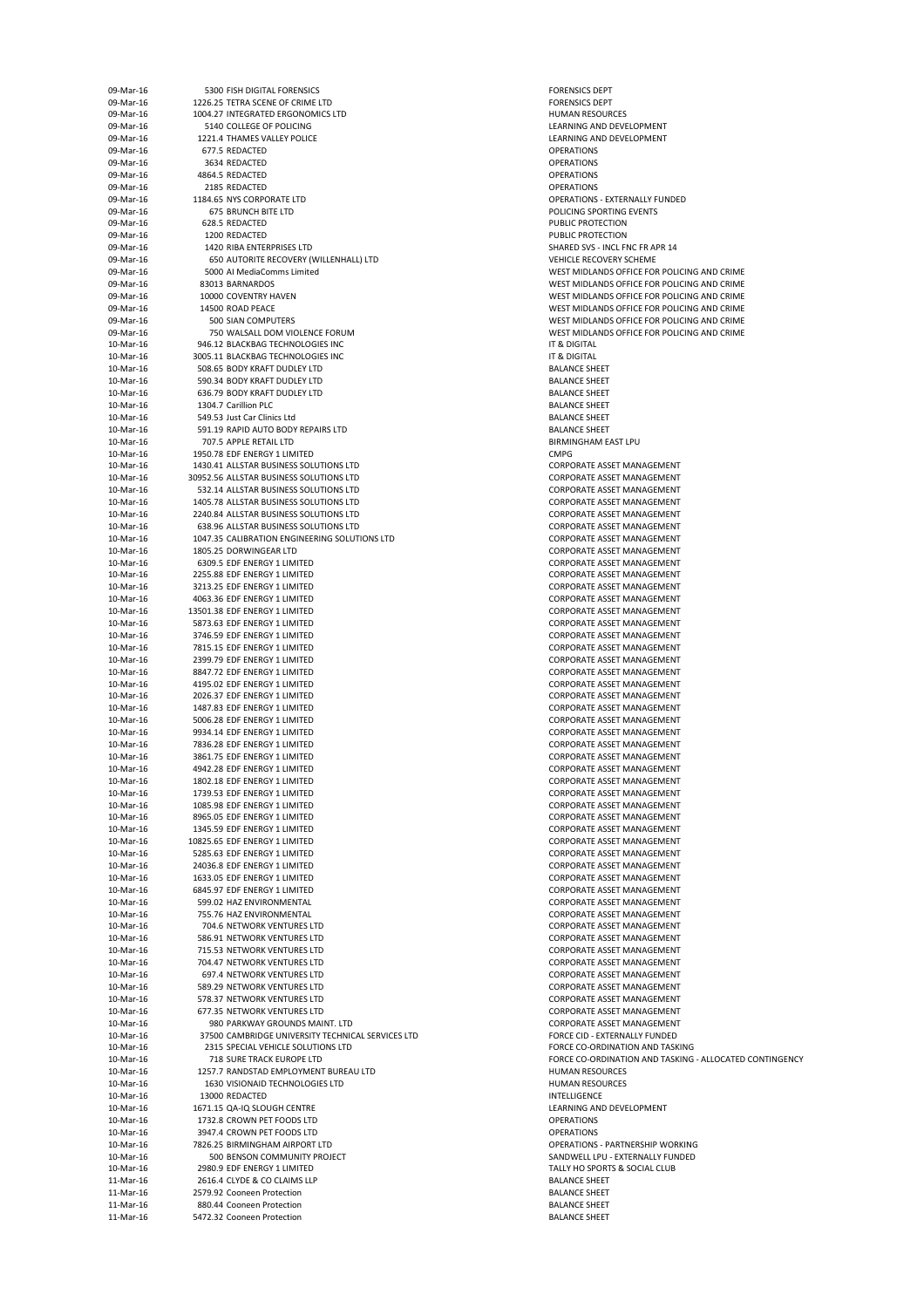| 09-Mar-16 | 5300 FISH DIGITAL FORENSICS                       | <b>FORENSICS DE</b>  |
|-----------|---------------------------------------------------|----------------------|
| 09-Mar-16 | 1226.25 TETRA SCENE OF CRIME LTD                  | <b>FORENSICS DE</b>  |
| 09-Mar-16 | 1004.27 INTEGRATED ERGONOMICS LTD                 | <b>HUMAN RESO</b>    |
|           |                                                   |                      |
| 09-Mar-16 | 5140 COLLEGE OF POLICING                          | <b>LEARNING AN</b>   |
| 09-Mar-16 | 1221.4 THAMES VALLEY POLICE                       | <b>LEARNING AN</b>   |
| 09-Mar-16 | 677.5 REDACTED                                    | <b>OPERATIONS</b>    |
| 09-Mar-16 | 3634 REDACTED                                     | <b>OPERATIONS</b>    |
| 09-Mar-16 | 4864.5 REDACTED                                   | <b>OPERATIONS</b>    |
|           |                                                   |                      |
| 09-Mar-16 | 2185 REDACTED                                     | <b>OPERATIONS</b>    |
| 09-Mar-16 | 1184.65 NYS CORPORATE LTD                         | <b>OPERATIONS -</b>  |
| 09-Mar-16 | <b>675 BRUNCH BITE LTD</b>                        | POLICING SPO         |
| 09-Mar-16 | 628.5 REDACTED                                    | <b>PUBLIC PROTE</b>  |
| 09-Mar-16 | 1200 REDACTED                                     | <b>PUBLIC PROTE</b>  |
|           |                                                   |                      |
| 09-Mar-16 | 1420 RIBA ENTERPRISES LTD                         | <b>SHARED SVS -</b>  |
| 09-Mar-16 | 650 AUTORITE RECOVERY (WILLENHALL) LTD            | <b>VEHICLE RECO</b>  |
| 09-Mar-16 | 5000 Al MediaComms Limited                        | <b>WEST MIDLAN</b>   |
| 09-Mar-16 | 83013 BARNARDOS                                   | <b>WEST MIDLAN</b>   |
| 09-Mar-16 | 10000 COVENTRY HAVEN                              | <b>WEST MIDLAN</b>   |
|           |                                                   |                      |
| 09-Mar-16 | 14500 ROAD PEACE                                  | <b>WEST MIDLAN</b>   |
| 09-Mar-16 | <b>500 SIAN COMPUTERS</b>                         | <b>WEST MIDLAN</b>   |
| 09-Mar-16 | 750 WALSALL DOM VIOLENCE FORUM                    | <b>WEST MIDLAN</b>   |
| 10-Mar-16 | 946.12 BLACKBAG TECHNOLOGIES INC                  | IT & DIGITAL         |
| 10-Mar-16 | 3005.11 BLACKBAG TECHNOLOGIES INC                 | IT & DIGITAL         |
|           |                                                   |                      |
| 10-Mar-16 | 508.65 BODY KRAFT DUDLEY LTD                      | <b>BALANCE SHEI</b>  |
| 10-Mar-16 | 590.34 BODY KRAFT DUDLEY LTD                      | <b>BALANCE SHEI</b>  |
| 10-Mar-16 | 636.79 BODY KRAFT DUDLEY LTD                      | <b>BALANCE SHEI</b>  |
| 10-Mar-16 | 1304.7 Carillion PLC                              | <b>BALANCE SHEI</b>  |
| 10-Mar-16 | 549.53 Just Car Clinics Ltd                       | <b>BALANCE SHEI</b>  |
|           |                                                   |                      |
| 10-Mar-16 | 591.19 RAPID AUTO BODY REPAIRS LTD                | <b>BALANCE SHEI</b>  |
| 10-Mar-16 | 707.5 APPLE RETAIL LTD                            | <b>BIRMINGHAM</b>    |
| 10-Mar-16 | 1950.78 EDF ENERGY 1 LIMITED                      | <b>CMPG</b>          |
| 10-Mar-16 | 1430.41 ALLSTAR BUSINESS SOLUTIONS LTD            | <b>CORPORATE A</b>   |
| 10-Mar-16 | 30952.56 ALLSTAR BUSINESS SOLUTIONS LTD           |                      |
|           |                                                   | <b>CORPORATE A</b>   |
| 10-Mar-16 | 532.14 ALLSTAR BUSINESS SOLUTIONS LTD             | <b>CORPORATE A</b>   |
| 10-Mar-16 | 1405.78 ALLSTAR BUSINESS SOLUTIONS LTD            | <b>CORPORATE A</b>   |
| 10-Mar-16 | 2240.84 ALLSTAR BUSINESS SOLUTIONS LTD            | <b>CORPORATE A</b>   |
| 10-Mar-16 | 638.96 ALLSTAR BUSINESS SOLUTIONS LTD             | <b>CORPORATE A</b>   |
|           |                                                   |                      |
| 10-Mar-16 | 1047.35 CALIBRATION ENGINEERING SOLUTIONS LTD     | <b>CORPORATE A</b>   |
| 10-Mar-16 | 1805.25 DORWINGEAR LTD                            | <b>CORPORATE A</b>   |
| 10-Mar-16 | 6309.5 EDF ENERGY 1 LIMITED                       | <b>CORPORATE A</b>   |
| 10-Mar-16 | 2255.88 EDF ENERGY 1 LIMITED                      | <b>CORPORATE A</b>   |
| 10-Mar-16 | 3213.25 EDF ENERGY 1 LIMITED                      | <b>CORPORATE A</b>   |
|           |                                                   |                      |
| 10-Mar-16 | 4063.36 EDF ENERGY 1 LIMITED                      | <b>CORPORATE A</b>   |
| 10-Mar-16 | 13501.38 EDF ENERGY 1 LIMITED                     | <b>CORPORATE A</b>   |
| 10-Mar-16 | 5873.63 EDF ENERGY 1 LIMITED                      | <b>CORPORATE A</b>   |
| 10-Mar-16 | 3746.59 EDF ENERGY 1 LIMITED                      | <b>CORPORATE A</b>   |
| 10-Mar-16 | 7815.15 EDF ENERGY 1 LIMITED                      | <b>CORPORATE A</b>   |
|           |                                                   |                      |
| 10-Mar-16 | 2399.79 EDF ENERGY 1 LIMITED                      | <b>CORPORATE A</b>   |
| 10-Mar-16 | 8847.72 EDF ENERGY 1 LIMITED                      | <b>CORPORATE A</b>   |
| 10-Mar-16 | 4195.02 EDF ENERGY 1 LIMITED                      | <b>CORPORATE A</b>   |
| 10-Mar-16 | 2026.37 EDF ENERGY 1 LIMITED                      | <b>CORPORATE A</b>   |
|           |                                                   |                      |
| 10-Mar-16 | 1487.83 EDF ENERGY 1 LIMITED                      | <b>CORPORATE A</b>   |
| 10-Mar-16 | 5006.28 EDF ENERGY 1 LIMITED                      | <b>CORPORATE A</b>   |
| 10-Mar-16 | 9934.14 EDF ENERGY 1 LIMITED                      | <b>CORPORATE A</b>   |
| 10-Mar-16 | 7836.28 EDF ENERGY 1 LIMITED                      | <b>CORPORATE A</b>   |
| 10-Mar-16 | 3861.75 EDF ENERGY 1 LIMITED                      | <b>CORPORATE A</b>   |
|           |                                                   |                      |
| 10-Mar-16 | 4942.28 EDF ENERGY 1 LIMITED                      | <b>CORPORATE A</b>   |
| 10-Mar-16 | 1802.18 EDF ENERGY 1 LIMITED                      | <b>CORPORATE A</b>   |
| 10-Mar-16 | 1739.53 EDF ENERGY 1 LIMITED                      | <b>CORPORATE A</b>   |
| 10-Mar-16 | 1085.98 EDF ENERGY 1 LIMITED                      | <b>CORPORATE A</b>   |
| 10-Mar-16 | 8965.05 EDF ENERGY 1 LIMITED                      | <b>CORPORATE A</b>   |
|           |                                                   |                      |
| 10-Mar-16 | 1345.59 EDF ENERGY 1 LIMITED                      | <b>CORPORATE A</b>   |
| 10-Mar-16 | 10825.65 EDF ENERGY 1 LIMITED                     | <b>CORPORATE A</b>   |
| 10-Mar-16 | 5285.63 EDF ENERGY 1 LIMITED                      | <b>CORPORATE A</b>   |
| 10-Mar-16 | 24036.8 EDF ENERGY 1 LIMITED                      | <b>CORPORATE A</b>   |
| 10-Mar-16 | 1633.05 EDF ENERGY 1 LIMITED                      | <b>CORPORATE A</b>   |
|           |                                                   |                      |
| 10-Mar-16 | 6845.97 EDF ENERGY 1 LIMITED                      | <b>CORPORATE A</b>   |
| 10-Mar-16 | 599.02 HAZ ENVIRONMENTAL                          | <b>CORPORATE A</b>   |
| 10-Mar-16 | 755.76 HAZ ENVIRONMENTAL                          | <b>CORPORATE A</b>   |
| 10-Mar-16 | 704.6 NETWORK VENTURES LTD                        | <b>CORPORATE A</b>   |
| 10-Mar-16 | 586.91 NETWORK VENTURES LTD                       | <b>CORPORATE A</b>   |
|           |                                                   |                      |
| 10-Mar-16 | 715.53 NETWORK VENTURES LTD                       | <b>CORPORATE A</b>   |
| 10-Mar-16 | 704.47 NETWORK VENTURES LTD                       | <b>CORPORATE A</b>   |
| 10-Mar-16 | 697.4 NETWORK VENTURES LTD                        | <b>CORPORATE A</b>   |
| 10-Mar-16 | 589.29 NETWORK VENTURES LTD                       | <b>CORPORATE A</b>   |
| 10-Mar-16 | 578.37 NETWORK VENTURES LTD                       | <b>CORPORATE A</b>   |
|           |                                                   |                      |
| 10-Mar-16 | 677.35 NETWORK VENTURES LTD                       | <b>CORPORATE A</b>   |
| 10-Mar-16 | 980 PARKWAY GROUNDS MAINT. LTD                    | <b>CORPORATE A</b>   |
| 10-Mar-16 | 37500 CAMBRIDGE UNIVERSITY TECHNICAL SERVICES LTD | <b>FORCE CID - E</b> |
| 10-Mar-16 | 2315 SPECIAL VEHICLE SOLUTIONS LTD                | <b>FORCE CO-OR</b>   |
| 10-Mar-16 | <b>718 SURE TRACK EUROPE LTD</b>                  | <b>FORCE CO-OR</b>   |
|           |                                                   |                      |
| 10-Mar-16 | 1257.7 RANDSTAD EMPLOYMENT BUREAU LTD             | <b>HUMAN RESO</b>    |
| 10-Mar-16 | 1630 VISIONAID TECHNOLOGIES LTD                   | <b>HUMAN RESO</b>    |
| 10-Mar-16 | 13000 REDACTED                                    | <b>INTELLIGENCE</b>  |
| 10-Mar-16 | 1671.15 QA-IQ SLOUGH CENTRE                       | <b>LEARNING AN</b>   |
|           |                                                   |                      |
| 10-Mar-16 | 1732.8 CROWN PET FOODS LTD                        | <b>OPERATIONS</b>    |
| 10-Mar-16 | 3947.4 CROWN PET FOODS LTD                        | <b>OPERATIONS</b>    |
| 10-Mar-16 | 7826.25 BIRMINGHAM AIRPORT LTD                    | <b>OPERATIONS -</b>  |
| 10-Mar-16 | 500 BENSON COMMUNITY PROJECT                      | <b>SANDWELL LP</b>   |
| 10-Mar-16 | 2980.9 EDF ENERGY 1 LIMITED                       | <b>TALLY HO SPO</b>  |
|           |                                                   |                      |
| 11-Mar-16 | 2616.4 CLYDE & CO CLAIMS LLP                      | <b>BALANCE SHEI</b>  |
| 11-Mar-16 | 2579.92 Cooneen Protection                        | <b>BALANCE SHEI</b>  |
| 11-Mar-16 | 880.44 Cooneen Protection                         | <b>BALANCE SHEI</b>  |
| 11-Mar-16 | 5472.32 Cooneen Protection                        | <b>BALANCE SHEI</b>  |
|           |                                                   |                      |

FORENSICS DEPT FORENSICS DEPT HUMAN RESOURCES LEARNING AND DEVELOPMENT LEARNING AND DEVELOPMENT **OPERATIONS - EXTERNALLY FUNDED** POLICING SPORTING EVENTS PUBLIC PROTECTION PUBLIC PROTECTION SHARED SVS - INCL FNC FR APR 14 VEHICLE RECOVERY SCHEME WEST MIDLANDS OFFICE FOR POLICING AND CRIME WEST MIDLANDS OFFICE FOR POLICING AND CRIME WEST MIDLANDS OFFICE FOR POLICING AND CRIME WEST MIDLANDS OFFICE FOR POLICING AND CRIME WEST MIDLANDS OFFICE FOR POLICING AND CRIME WEST MIDLANDS OFFICE FOR POLICING AND CRIME BALANCE SHEET BALANCE SHEET BALANCE SHEET BALANCE SHEET BALANCE SHEET BALANCE SHEET BIRMINGHAM EAST LPU CORPORATE ASSET MANAGEMENT CORPORATE ASSET MANAGEMENT CORPORATE ASSET MANAGEMENT CORPORATE ASSET MANAGEMENT CORPORATE ASSET MANAGEMENT CORPORATE ASSET MANAGEMENT CORPORATE ASSET MANAGEMENT CORPORATE ASSET MANAGEMENT CORPORATE ASSET MANAGEMENT CORPORATE ASSET MANAGEMENT CORPORATE ASSET MANAGEMENT CORPORATE ASSET MANAGEMENT CORPORATE ASSET MANAGEMENT CORPORATE ASSET MANAGEMENT CORPORATE ASSET MANAGEMENT CORPORATE ASSET MANAGEMENT CORPORATE ASSET MANAGEMENT CORPORATE ASSET MANAGEMENT CORPORATE ASSET MANAGEMENT CORPORATE ASSET MANAGEMENT CORPORATE ASSET MANAGEMENT CORPORATE ASSET MANAGEMENT CORPORATE ASSET MANAGEMENT CORPORATE ASSET MANAGEMENT CORPORATE ASSET MANAGEMENT CORPORATE ASSET MANAGEMENT CORPORATE ASSET MANAGEMENT CORPORATE ASSET MANAGEMENT CORPORATE ASSET MANAGEMENT CORPORATE ASSET MANAGEMENT CORPORATE ASSET MANAGEMENT CORPORATE ASSET MANAGEMENT CORPORATE ASSET MANAGEMENT CORPORATE ASSET MANAGEMENT CORPORATE ASSET MANAGEMENT CORPORATE ASSET MANAGEMENT CORPORATE ASSET MANAGEMENT CORPORATE ASSET MANAGEMENT CORPORATE ASSET MANAGEMENT CORPORATE ASSET MANAGEMENT CORPORATE ASSET MANAGEMENT CORPORATE ASSET MANAGEMENT CORPORATE ASSET MANAGEMENT CORPORATE ASSET MANAGEMENT CORPORATE ASSET MANAGEMENT CORPORATE ASSET MANAGEMENT CORPORATE ASSET MANAGEMENT FORCE CID - EXTERNALLY FUNDED FORCE CO-ORDINATION AND TASKING FORCE CO-ORDINATION AND TASKING - ALLOCATED CONTINGENCY HUMAN RESOURCES HUMAN RESOURCES LEARNING AND DEVELOPMENT OPERATIONS - PARTNERSHIP WORKING SANDWELL LPU - EXTERNALLY FUNDED TALLY HO SPORTS & SOCIAL CLUB BALANCE SHEET BALANCE SHEET BALANCE SHEET BALANCE SHEET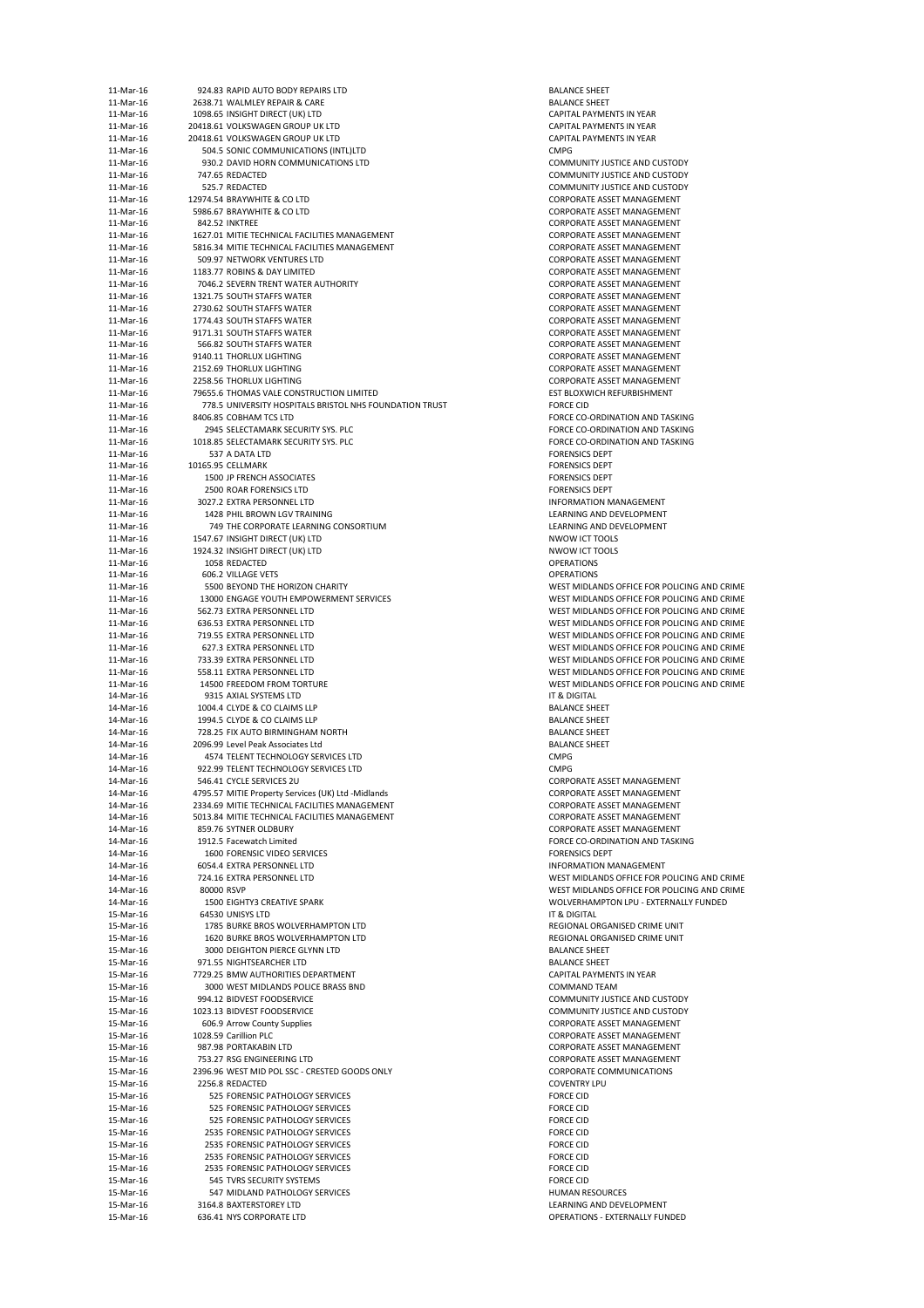| 11-Mar-16 | 924.83 RAPID AUTO BODY REPAIRS LTD                      | <b>BALANCE SHEET</b>                        |
|-----------|---------------------------------------------------------|---------------------------------------------|
| 11-Mar-16 | 2638.71 WALMLEY REPAIR & CARE                           | <b>BALANCE SHEET</b>                        |
| 11-Mar-16 | 1098.65 INSIGHT DIRECT (UK) LTD                         | <b>CAPITAL PAYMENTS IN YEAR</b>             |
| 11-Mar-16 | 20418.61 VOLKSWAGEN GROUP UK LTD                        | CAPITAL PAYMENTS IN YEAR                    |
| 11-Mar-16 | 20418.61 VOLKSWAGEN GROUP UK LTD                        | CAPITAL PAYMENTS IN YEAR                    |
| 11-Mar-16 | 504.5 SONIC COMMUNICATIONS (INTL)LTD                    | <b>CMPG</b>                                 |
| 11-Mar-16 | 930.2 DAVID HORN COMMUNICATIONS LTD                     | <b>COMMUNITY JUSTICE AND CUSTODY</b>        |
| 11-Mar-16 | 747.65 REDACTED                                         | <b>COMMUNITY JUSTICE AND CUSTODY</b>        |
| 11-Mar-16 | 525.7 REDACTED                                          | <b>COMMUNITY JUSTICE AND CUSTODY</b>        |
| 11-Mar-16 | 12974.54 BRAYWHITE & CO LTD                             | <b>CORPORATE ASSET MANAGEMENT</b>           |
| 11-Mar-16 | 5986.67 BRAYWHITE & CO LTD                              | <b>CORPORATE ASSET MANAGEMENT</b>           |
| 11-Mar-16 | 842.52 INKTREE                                          | <b>CORPORATE ASSET MANAGEMENT</b>           |
| 11-Mar-16 | 1627.01 MITIE TECHNICAL FACILITIES MANAGEMENT           | <b>CORPORATE ASSET MANAGEMENT</b>           |
| 11-Mar-16 | 5816.34 MITIE TECHNICAL FACILITIES MANAGEMENT           | <b>CORPORATE ASSET MANAGEMENT</b>           |
| 11-Mar-16 | 509.97 NETWORK VENTURES LTD                             | <b>CORPORATE ASSET MANAGEMENT</b>           |
| 11-Mar-16 | 1183.77 ROBINS & DAY LIMITED                            | <b>CORPORATE ASSET MANAGEMENT</b>           |
| 11-Mar-16 | 7046.2 SEVERN TRENT WATER AUTHORITY                     | <b>CORPORATE ASSET MANAGEMENT</b>           |
| 11-Mar-16 | 1321.75 SOUTH STAFFS WATER                              | <b>CORPORATE ASSET MANAGEMENT</b>           |
|           |                                                         |                                             |
| 11-Mar-16 | 2730.62 SOUTH STAFFS WATER                              | <b>CORPORATE ASSET MANAGEMENT</b>           |
| 11-Mar-16 | 1774.43 SOUTH STAFFS WATER                              | <b>CORPORATE ASSET MANAGEMENT</b>           |
| 11-Mar-16 | 9171.31 SOUTH STAFFS WATER                              | <b>CORPORATE ASSET MANAGEMENT</b>           |
| 11-Mar-16 | 566.82 SOUTH STAFFS WATER                               | <b>CORPORATE ASSET MANAGEMENT</b>           |
| 11-Mar-16 | 9140.11 THORLUX LIGHTING                                | <b>CORPORATE ASSET MANAGEMENT</b>           |
| 11-Mar-16 | 2152.69 THORLUX LIGHTING                                | <b>CORPORATE ASSET MANAGEMENT</b>           |
| 11-Mar-16 | 2258.56 THORLUX LIGHTING                                | <b>CORPORATE ASSET MANAGEMENT</b>           |
| 11-Mar-16 | 79655.6 THOMAS VALE CONSTRUCTION LIMITED                | EST BLOXWICH REFURBISHMENT                  |
| 11-Mar-16 | 778.5 UNIVERSITY HOSPITALS BRISTOL NHS FOUNDATION TRUST | <b>FORCE CID</b>                            |
| 11-Mar-16 | 8406.85 COBHAM TCS LTD                                  | FORCE CO-ORDINATION AND TASKING             |
| 11-Mar-16 | 2945 SELECTAMARK SECURITY SYS. PLC                      | FORCE CO-ORDINATION AND TASKING             |
| 11-Mar-16 | 1018.85 SELECTAMARK SECURITY SYS. PLC                   | FORCE CO-ORDINATION AND TASKING             |
| 11-Mar-16 | 537 A DATA LTD                                          | <b>FORENSICS DEPT</b>                       |
| 11-Mar-16 | 10165.95 CELLMARK                                       | <b>FORENSICS DEPT</b>                       |
| 11-Mar-16 | 1500 JP FRENCH ASSOCIATES                               | <b>FORENSICS DEPT</b>                       |
| 11-Mar-16 | 2500 ROAR FORENSICS LTD                                 | <b>FORENSICS DEPT</b>                       |
| 11-Mar-16 | 3027.2 EXTRA PERSONNEL LTD                              | <b>INFORMATION MANAGEMENT</b>               |
| 11-Mar-16 | 1428 PHIL BROWN LGV TRAINING                            | LEARNING AND DEVELOPMENT                    |
| 11-Mar-16 | 749 THE CORPORATE LEARNING CONSORTIUM                   | LEARNING AND DEVELOPMENT                    |
| 11-Mar-16 | 1547.67 INSIGHT DIRECT (UK) LTD                         | <b>NWOW ICT TOOLS</b>                       |
| 11-Mar-16 | 1924.32 INSIGHT DIRECT (UK) LTD                         | <b>NWOW ICT TOOLS</b>                       |
| 11-Mar-16 | 1058 REDACTED                                           | <b>OPERATIONS</b>                           |
| 11-Mar-16 | 606.2 VILLAGE VETS                                      | <b>OPERATIONS</b>                           |
| 11-Mar-16 | 5500 BEYOND THE HORIZON CHARITY                         | WEST MIDLANDS OFFICE FOR POLICING AND CRIME |
| 11-Mar-16 | 13000 ENGAGE YOUTH EMPOWERMENT SERVICES                 | WEST MIDLANDS OFFICE FOR POLICING AND CRIME |
| 11-Mar-16 | 562.73 EXTRA PERSONNEL LTD                              | WEST MIDLANDS OFFICE FOR POLICING AND CRIME |
| 11-Mar-16 | 636.53 EXTRA PERSONNEL LTD                              | WEST MIDLANDS OFFICE FOR POLICING AND CRIME |
|           |                                                         |                                             |
| 11-Mar-16 | 719.55 EXTRA PERSONNEL LTD                              | WEST MIDLANDS OFFICE FOR POLICING AND CRIME |
| 11-Mar-16 | 627.3 EXTRA PERSONNEL LTD                               | WEST MIDLANDS OFFICE FOR POLICING AND CRIME |
| 11-Mar-16 | 733.39 EXTRA PERSONNEL LTD                              | WEST MIDLANDS OFFICE FOR POLICING AND CRIME |
| 11-Mar-16 | 558.11 EXTRA PERSONNEL LTD                              | WEST MIDLANDS OFFICE FOR POLICING AND CRIME |
| 11-Mar-16 | 14500 FREEDOM FROM TORTURE                              | WEST MIDLANDS OFFICE FOR POLICING AND CRIME |
| 14-Mar-16 | 9315 AXIAL SYSTEMS LTD                                  | IT & DIGITAL                                |
| 14-Mar-16 | 1004.4 CLYDE & CO CLAIMS LLP                            | <b>BALANCE SHEET</b>                        |
| 14-Mar-16 | 1994.5 CLYDE & CO CLAIMS LLP                            | <b>BALANCE SHEET</b>                        |
| 14-Mar-16 | 728.25 FIX AUTO BIRMINGHAM NORTH                        | <b>BALANCE SHEET</b>                        |
| 14-Mar-16 | 2096.99 Level Peak Associates Ltd                       | <b>BALANCE SHEET</b>                        |
| 14-Mar-16 | 4574 TELENT TECHNOLOGY SERVICES LTD                     | <b>CMPG</b>                                 |
| 14-Mar-16 | 922.99 TELENT TECHNOLOGY SERVICES LTD                   | <b>CMPG</b>                                 |
| 14-Mar-16 | 546.41 CYCLE SERVICES 2U                                | <b>CORPORATE ASSET MANAGEMENT</b>           |
| 14-Mar-16 | 4795.57 MITIE Property Services (UK) Ltd -Midlands      | <b>CORPORATE ASSET MANAGEMENT</b>           |
| 14-Mar-16 | 2334.69 MITIE TECHNICAL FACILITIES MANAGEMENT           | <b>CORPORATE ASSET MANAGEMENT</b>           |
| 14-Mar-16 | 5013.84 MITIE TECHNICAL FACILITIES MANAGEMENT           | <b>CORPORATE ASSET MANAGEMENT</b>           |
| 14-Mar-16 | 859.76 SYTNER OLDBURY                                   | <b>CORPORATE ASSET MANAGEMENT</b>           |
| 14-Mar-16 | 1912.5 Facewatch Limited                                | FORCE CO-ORDINATION AND TASKING             |
| 14-Mar-16 | 1600 FORENSIC VIDEO SERVICES                            | <b>FORENSICS DEPT</b>                       |
| 14-Mar-16 | 6054.4 EXTRA PERSONNEL LTD                              | <b>INFORMATION MANAGEMENT</b>               |
| 14-Mar-16 | 724.16 EXTRA PERSONNEL LTD                              | WEST MIDLANDS OFFICE FOR POLICING AND CRIME |
| 14-Mar-16 | 80000 RSVP                                              | WEST MIDLANDS OFFICE FOR POLICING AND CRIME |
| 14-Mar-16 | <b>1500 EIGHTY3 CREATIVE SPARK</b>                      | WOLVERHAMPTON LPU - EXTERNALLY FUNDED       |
| 15-Mar-16 | 64530 UNISYS LTD                                        | IT & DIGITAL                                |
| 15-Mar-16 | 1785 BURKE BROS WOLVERHAMPTON LTD                       | REGIONAL ORGANISED CRIME UNIT               |
| 15-Mar-16 | 1620 BURKE BROS WOLVERHAMPTON LTD                       | REGIONAL ORGANISED CRIME UNIT               |
| 15-Mar-16 | 3000 DEIGHTON PIERCE GLYNN LTD                          | <b>BALANCE SHEET</b>                        |
|           |                                                         | <b>BALANCE SHEET</b>                        |
| 15-Mar-16 | 971.55 NIGHTSEARCHER LTD                                |                                             |
| 15-Mar-16 | 7729.25 BMW AUTHORITIES DEPARTMENT                      | <b>CAPITAL PAYMENTS IN YEAR</b>             |
| 15-Mar-16 | 3000 WEST MIDLANDS POLICE BRASS BND                     | <b>COMMAND TEAM</b>                         |
| 15-Mar-16 | 994.12 BIDVEST FOODSERVICE                              | <b>COMMUNITY JUSTICE AND CUSTODY</b>        |
| 15-Mar-16 | 1023.13 BIDVEST FOODSERVICE                             | <b>COMMUNITY JUSTICE AND CUSTODY</b>        |
| 15-Mar-16 | 606.9 Arrow County Supplies                             | <b>CORPORATE ASSET MANAGEMENT</b>           |
| 15-Mar-16 | 1028.59 Carillion PLC                                   | <b>CORPORATE ASSET MANAGEMENT</b>           |
| 15-Mar-16 | 987.98 PORTAKABIN LTD                                   | <b>CORPORATE ASSET MANAGEMENT</b>           |
| 15-Mar-16 | 753.27 RSG ENGINEERING LTD                              | <b>CORPORATE ASSET MANAGEMENT</b>           |
| 15-Mar-16 | 2396.96 WEST MID POL SSC - CRESTED GOODS ONLY           | <b>CORPORATE COMMUNICATIONS</b>             |
| 15-Mar-16 | 2256.8 REDACTED                                         | <b>COVENTRY LPU</b>                         |
| 15-Mar-16 | 525 FORENSIC PATHOLOGY SERVICES                         | <b>FORCE CID</b>                            |
| 15-Mar-16 | 525 FORENSIC PATHOLOGY SERVICES                         | <b>FORCE CID</b>                            |
| 15-Mar-16 | 525 FORENSIC PATHOLOGY SERVICES                         | <b>FORCE CID</b>                            |
| 15-Mar-16 | 2535 FORENSIC PATHOLOGY SERVICES                        | <b>FORCE CID</b>                            |
| 15-Mar-16 | 2535 FORENSIC PATHOLOGY SERVICES                        | <b>FORCE CID</b>                            |
| 15-Mar-16 | 2535 FORENSIC PATHOLOGY SERVICES                        | <b>FORCE CID</b>                            |
| 15-Mar-16 | 2535 FORENSIC PATHOLOGY SERVICES                        | <b>FORCE CID</b>                            |
| 15-Mar-16 | 545 TVRS SECURITY SYSTEMS                               | <b>FORCE CID</b>                            |
|           |                                                         | <b>HUMAN RESOURCES</b>                      |
| 15-Mar-16 | 547 MIDLAND PATHOLOGY SERVICES                          |                                             |
| 15-Mar-16 | 3164.8 BAXTERSTOREY LTD                                 | LEARNING AND DEVELOPMENT                    |
| 15-Mar-16 | 636.41 NYS CORPORATE LTD                                | <b>OPERATIONS - EXTERNALLY FUNDED</b>       |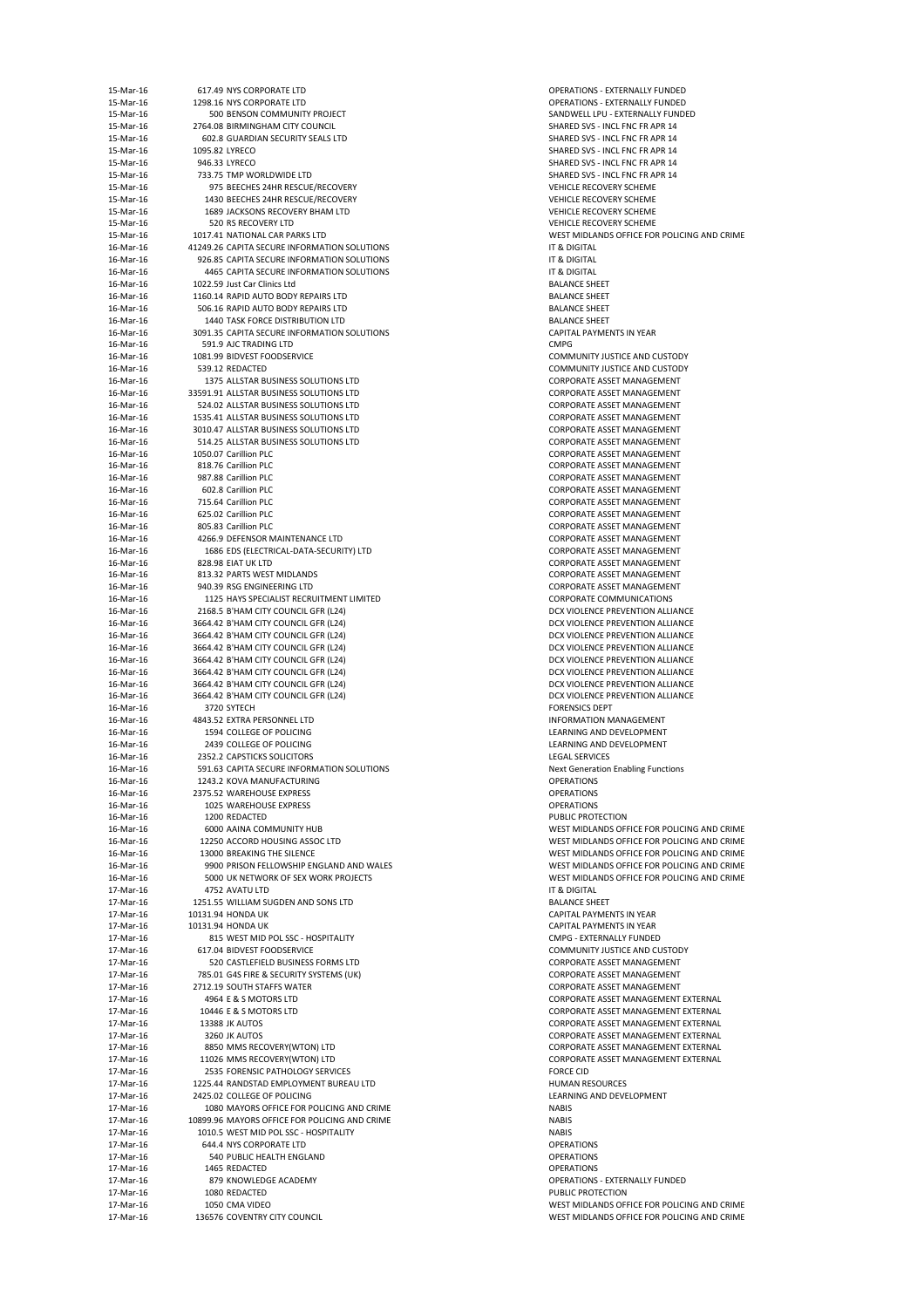| 15-Mar-16              | 617.49 NYS CORPORATE LTD                                                               | <b>OPERATIONS - E</b>                          |
|------------------------|----------------------------------------------------------------------------------------|------------------------------------------------|
| 15-Mar-16<br>15-Mar-16 | 1298.16 NYS CORPORATE LTD<br>500 BENSON COMMUNITY PROJECT                              | <b>OPERATIONS - E</b><br>SANDWELL LPU          |
| 15-Mar-16              | 2764.08 BIRMINGHAM CITY COUNCIL                                                        | <b>SHARED SVS - IN</b>                         |
| 15-Mar-16              | 602.8 GUARDIAN SECURITY SEALS LTD                                                      | SHARED SVS - IN                                |
| 15-Mar-16              | 1095.82 LYRECO                                                                         | <b>SHARED SVS - IN</b>                         |
| 15-Mar-16              | 946.33 LYRECO                                                                          | SHARED SVS - IN                                |
| 15-Mar-16<br>15-Mar-16 | 733.75 TMP WORLDWIDE LTD<br>975 BEECHES 24HR RESCUE/RECOVERY                           | SHARED SVS - IN<br><b>VEHICLE RECOV</b>        |
| 15-Mar-16              | 1430 BEECHES 24HR RESCUE/RECOVERY                                                      | <b>VEHICLE RECOV</b>                           |
| 15-Mar-16              | 1689 JACKSONS RECOVERY BHAM LTD                                                        | <b>VEHICLE RECOV</b>                           |
| 15-Mar-16              | 520 RS RECOVERY LTD                                                                    | <b>VEHICLE RECOV</b>                           |
| 15-Mar-16              | 1017.41 NATIONAL CAR PARKS LTD                                                         | <b>WEST MIDLAND</b>                            |
| 16-Mar-16              | 41249.26 CAPITA SECURE INFORMATION SOLUTIONS                                           | IT & DIGITAL                                   |
| 16-Mar-16<br>16-Mar-16 | 926.85 CAPITA SECURE INFORMATION SOLUTIONS<br>4465 CAPITA SECURE INFORMATION SOLUTIONS | IT & DIGITAL<br>IT & DIGITAL                   |
| 16-Mar-16              | 1022.59 Just Car Clinics Ltd                                                           | <b>BALANCE SHEET</b>                           |
| 16-Mar-16              | 1160.14 RAPID AUTO BODY REPAIRS LTD                                                    | <b>BALANCE SHEET</b>                           |
| 16-Mar-16              | 506.16 RAPID AUTO BODY REPAIRS LTD                                                     | <b>BALANCE SHEET</b>                           |
| 16-Mar-16              | 1440 TASK FORCE DISTRIBUTION LTD                                                       | <b>BALANCE SHEET</b>                           |
| 16-Mar-16<br>16-Mar-16 | 3091.35 CAPITA SECURE INFORMATION SOLUTIONS<br>591.9 AJC TRADING LTD                   | <b>CAPITAL PAYME</b><br><b>CMPG</b>            |
| 16-Mar-16              | 1081.99 BIDVEST FOODSERVICE                                                            | <b>COMMUNITY JU</b>                            |
| 16-Mar-16              | 539.12 REDACTED                                                                        | <b>COMMUNITY JU</b>                            |
| 16-Mar-16              | 1375 ALLSTAR BUSINESS SOLUTIONS LTD                                                    | <b>CORPORATE ASS</b>                           |
| 16-Mar-16              | 33591.91 ALLSTAR BUSINESS SOLUTIONS LTD                                                | <b>CORPORATE ASS</b>                           |
| 16-Mar-16<br>16-Mar-16 | 524.02 ALLSTAR BUSINESS SOLUTIONS LTD<br>1535.41 ALLSTAR BUSINESS SOLUTIONS LTD        | <b>CORPORATE ASS</b><br><b>CORPORATE ASS</b>   |
| 16-Mar-16              | 3010.47 ALLSTAR BUSINESS SOLUTIONS LTD                                                 | <b>CORPORATE ASS</b>                           |
| 16-Mar-16              | 514.25 ALLSTAR BUSINESS SOLUTIONS LTD                                                  | <b>CORPORATE ASS</b>                           |
| 16-Mar-16              | 1050.07 Carillion PLC                                                                  | <b>CORPORATE ASS</b>                           |
| 16-Mar-16              | 818.76 Carillion PLC                                                                   | <b>CORPORATE ASS</b>                           |
| 16-Mar-16<br>16-Mar-16 | 987.88 Carillion PLC                                                                   | <b>CORPORATE ASS</b>                           |
| 16-Mar-16              | 602.8 Carillion PLC<br>715.64 Carillion PLC                                            | <b>CORPORATE ASS</b><br><b>CORPORATE ASS</b>   |
| 16-Mar-16              | 625.02 Carillion PLC                                                                   | <b>CORPORATE ASS</b>                           |
| 16-Mar-16              | 805.83 Carillion PLC                                                                   | <b>CORPORATE ASS</b>                           |
| 16-Mar-16              | 4266.9 DEFENSOR MAINTENANCE LTD                                                        | <b>CORPORATE ASS</b>                           |
| 16-Mar-16<br>16-Mar-16 | 1686 EDS (ELECTRICAL-DATA-SECURITY) LTD                                                | <b>CORPORATE ASS</b>                           |
| 16-Mar-16              | 828.98 EIAT UK LTD<br>813.32 PARTS WEST MIDLANDS                                       | <b>CORPORATE ASS</b><br><b>CORPORATE ASS</b>   |
| 16-Mar-16              | 940.39 RSG ENGINEERING LTD                                                             | <b>CORPORATE ASS</b>                           |
| 16-Mar-16              | 1125 HAYS SPECIALIST RECRUITMENT LIMITED                                               | <b>CORPORATE CO</b>                            |
| 16-Mar-16              | 2168.5 B'HAM CITY COUNCIL GFR (L24)                                                    | <b>DCX VIOLENCE F</b>                          |
| 16-Mar-16<br>16-Mar-16 | 3664.42 B'HAM CITY COUNCIL GFR (L24)<br>3664.42 B'HAM CITY COUNCIL GFR (L24)           | <b>DCX VIOLENCE F</b><br><b>DCX VIOLENCE F</b> |
| 16-Mar-16              | 3664.42 B'HAM CITY COUNCIL GFR (L24)                                                   | <b>DCX VIOLENCE F</b>                          |
| 16-Mar-16              | 3664.42 B'HAM CITY COUNCIL GFR (L24)                                                   | <b>DCX VIOLENCE F</b>                          |
| 16-Mar-16              | 3664.42 B'HAM CITY COUNCIL GFR (L24)                                                   | <b>DCX VIOLENCE F</b>                          |
| 16-Mar-16              | 3664.42 B'HAM CITY COUNCIL GFR (L24)                                                   | <b>DCX VIOLENCE F</b>                          |
| 16-Mar-16<br>16-Mar-16 | 3664.42 B'HAM CITY COUNCIL GFR (L24)<br>3720 SYTECH                                    | <b>DCX VIOLENCE F</b><br><b>FORENSICS DEPT</b> |
| 16-Mar-16              | 4843.52 EXTRA PERSONNEL LTD                                                            | <b>INFORMATION I</b>                           |
| 16-Mar-16              | 1594 COLLEGE OF POLICING                                                               | <b>LEARNING AND</b>                            |
| 16-Mar-16              | 2439 COLLEGE OF POLICING                                                               | <b>LEARNING AND</b>                            |
| 16-Mar-16              | 2352.2 CAPSTICKS SOLICITORS                                                            | <b>LEGAL SERVICES</b>                          |
| 16-Mar-16<br>16-Mar-16 | 591.63 CAPITA SECURE INFORMATION SOLUTIONS<br>1243.2 KOVA MANUFACTURING                | <b>Next Generation</b><br><b>OPERATIONS</b>    |
| 16-Mar-16              | 2375.52 WAREHOUSE EXPRESS                                                              | <b>OPERATIONS</b>                              |
| 16-Mar-16              | 1025 WAREHOUSE EXPRESS                                                                 | <b>OPERATIONS</b>                              |
| 16-Mar-16              | 1200 REDACTED                                                                          | PUBLIC PROTECT                                 |
| 16-Mar-16              | 6000 AAINA COMMUNITY HUB                                                               | <b>WEST MIDLAND</b>                            |
| 16-Mar-16<br>16-Mar-16 | 12250 ACCORD HOUSING ASSOC LTD<br>13000 BREAKING THE SILENCE                           | <b>WEST MIDLAND</b><br><b>WEST MIDLAND</b>     |
| 16-Mar-16              | 9900 PRISON FELLOWSHIP ENGLAND AND WALES                                               | <b>WEST MIDLAND</b>                            |
| 16-Mar-16              | 5000 UK NETWORK OF SEX WORK PROJECTS                                                   | <b>WEST MIDLAND</b>                            |
| 17-Mar-16              | 4752 AVATU LTD                                                                         | IT & DIGITAL                                   |
| 17-Mar-16              | 1251.55 WILLIAM SUGDEN AND SONS LTD                                                    | <b>BALANCE SHEET</b>                           |
| 17-Mar-16              | 10131.94 HONDA UK                                                                      | <b>CAPITAL PAYME</b>                           |
| 17-Mar-16<br>17-Mar-16 | 10131.94 HONDA UK<br>815 WEST MID POL SSC - HOSPITALITY                                | <b>CAPITAL PAYME</b><br><b>CMPG - EXTERN</b>   |
| 17-Mar-16              | 617.04 BIDVEST FOODSERVICE                                                             | <b>COMMUNITY JU</b>                            |
| 17-Mar-16              | 520 CASTLEFIELD BUSINESS FORMS LTD                                                     | <b>CORPORATE ASS</b>                           |
| 17-Mar-16              | 785.01 G4S FIRE & SECURITY SYSTEMS (UK)                                                | <b>CORPORATE ASS</b>                           |
| 17-Mar-16              | 2712.19 SOUTH STAFFS WATER                                                             | <b>CORPORATE ASS</b>                           |
| 17-Mar-16<br>17-Mar-16 | 4964 E & S MOTORS LTD<br>10446 E & S MOTORS LTD                                        | <b>CORPORATE ASS</b><br><b>CORPORATE ASS</b>   |
| 17-Mar-16              | 13388 JK AUTOS                                                                         | <b>CORPORATE ASS</b>                           |
| 17-Mar-16              | 3260 JK AUTOS                                                                          | <b>CORPORATE ASS</b>                           |
| 17-Mar-16              | 8850 MMS RECOVERY(WTON) LTD                                                            | <b>CORPORATE ASS</b>                           |
| 17-Mar-16              | 11026 MMS RECOVERY(WTON) LTD                                                           | <b>CORPORATE ASS</b>                           |
| 17-Mar-16<br>17-Mar-16 | 2535 FORENSIC PATHOLOGY SERVICES<br>1225.44 RANDSTAD EMPLOYMENT BUREAU LTD             | <b>FORCE CID</b><br><b>HUMAN RESOU</b>         |
| 17-Mar-16              | 2425.02 COLLEGE OF POLICING                                                            | <b>LEARNING AND</b>                            |
| 17-Mar-16              | 1080 MAYORS OFFICE FOR POLICING AND CRIME                                              | <b>NABIS</b>                                   |
| 17-Mar-16              | 10899.96 MAYORS OFFICE FOR POLICING AND CRIME                                          | <b>NABIS</b>                                   |
| 17-Mar-16<br>17-Mar-16 | 1010.5 WEST MID POL SSC - HOSPITALITY<br>644.4 NYS CORPORATE LTD                       | <b>NABIS</b><br><b>OPERATIONS</b>              |
| 17-Mar-16              | 540 PUBLIC HEALTH ENGLAND                                                              | <b>OPERATIONS</b>                              |
| 17-Mar-16              | 1465 REDACTED                                                                          | <b>OPERATIONS</b>                              |
| 17-Mar-16              | 879 KNOWLEDGE ACADEMY                                                                  | <b>OPERATIONS - E</b>                          |
| 17-Mar-16              | 1080 REDACTED                                                                          | PUBLIC PROTECT                                 |
| 17-Mar-16<br>17-Mar-16 | 1050 CMA VIDEO<br>136576 COVENTRY CITY COUNCIL                                         | <b>WEST MIDLAND</b><br><b>WEST MIDLAND</b>     |
|                        |                                                                                        |                                                |

**OPERATIONS - EXTERNALLY FUNDED** OPERATIONS - EXTERNALLY FUNDED SANDWELL LPU - EXTERNALLY FUNDED SHARED SVS - INCL FNC FR APR 14 SHARED SVS - INCL FNC FR APR 14 SHARED SVS - INCL FNC FR APR 14 SHARED SVS - INCL FNC FR APR 14 SHARED SVS - INCL FNC FR APR 14 VEHICLE RECOVERY SCHEME VEHICLE RECOVERY SCHEME VEHICLE RECOVERY SCHEME VEHICLE RECOVERY SCHEME WEST MIDLANDS OFFICE FOR POLICING AND CRIME BALANCE SHEET BALANCE SHEET BALANCE SHEET CAPITAL PAYMENTS IN YEAR COMMUNITY JUSTICE AND CUSTODY COMMUNITY JUSTICE AND CUSTODY CORPORATE ASSET MANAGEMENT CORPORATE ASSET MANAGEMENT CORPORATE ASSET MANAGEMENT CORPORATE ASSET MANAGEMENT CORPORATE ASSET MANAGEMENT CORPORATE ASSET MANAGEMENT CORPORATE ASSET MANAGEMENT CORPORATE ASSET MANAGEMENT CORPORATE ASSET MANAGEMENT CORPORATE ASSET MANAGEMENT CORPORATE ASSET MANAGEMENT CORPORATE ASSET MANAGEMENT CORPORATE ASSET MANAGEMENT CORPORATE ASSET MANAGEMENT CORPORATE ASSET MANAGEMENT CORPORATE ASSET MANAGEMENT CORPORATE ASSET MANAGEMENT CORPORATE ASSET MANAGEMENT CORPORATE COMMUNICATIONS DCX VIOLENCE PREVENTION ALLIANCE DCX VIOLENCE PREVENTION ALLIANCE DCX VIOLENCE PREVENTION ALLIANCE DCX VIOLENCE PREVENTION ALLIANCE DCX VIOLENCE PREVENTION ALLIANCE DCX VIOLENCE PREVENTION ALLIANCE DCX VIOLENCE PREVENTION ALLIANCE DCX VIOLENCE PREVENTION ALLIANCE FORENSICS DEPT INFORMATION MANAGEMENT LEARNING AND DEVELOPMENT LEARNING AND DEVELOPMENT LEGAL SERVICES Next Generation Enabling Functions PUBLIC PROTECTION WEST MIDLANDS OFFICE FOR POLICING AND CRIME WEST MIDLANDS OFFICE FOR POLICING AND CRIME WEST MIDLANDS OFFICE FOR POLICING AND CRIME WEST MIDLANDS OFFICE FOR POLICING AND CRIME WEST MIDLANDS OFFICE FOR POLICING AND CRIME BALANCE SHEET CAPITAL PAYMENTS IN YEAR CAPITAL PAYMENTS IN YEAR CMPG - EXTERNALLY FUNDED COMMUNITY JUSTICE AND CUSTODY CORPORATE ASSET MANAGEMENT CORPORATE ASSET MANAGEMENT CORPORATE ASSET MANAGEMENT CORPORATE ASSET MANAGEMENT EXTERNAL CORPORATE ASSET MANAGEMENT EXTERNAL CORPORATE ASSET MANAGEMENT EXTERNAL CORPORATE ASSET MANAGEMENT EXTERNAL CORPORATE ASSET MANAGEMENT EXTERNAL CORPORATE ASSET MANAGEMENT EXTERNAL HUMAN RESOURCES LEARNING AND DEVELOPMENT OPERATIONS - EXTERNALLY FUNDED PUBLIC PROTECTION WEST MIDLANDS OFFICE FOR POLICING AND CRIME WEST MIDLANDS OFFICE FOR POLICING AND CRIME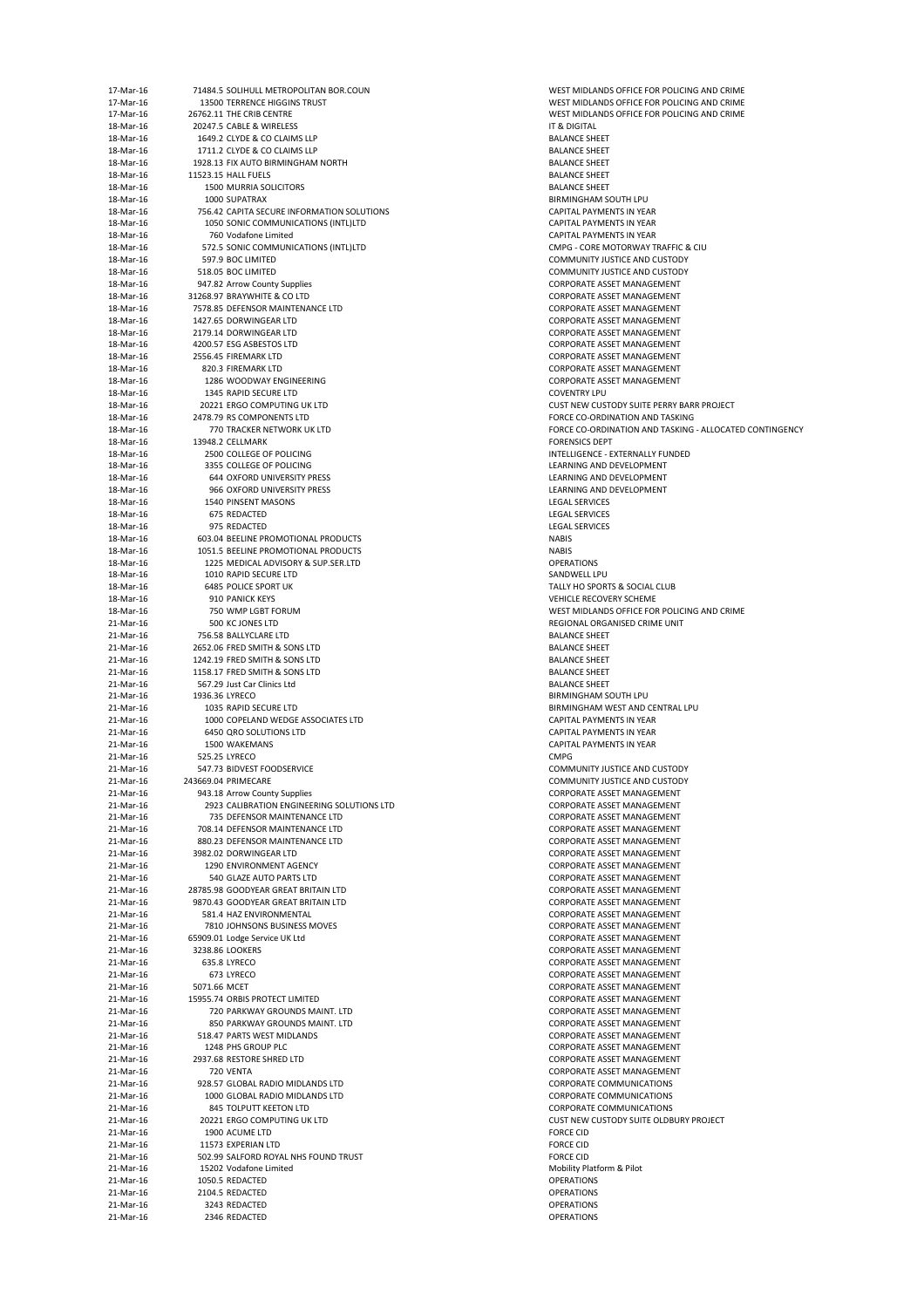| 17-Mar-16              |                | 71484.5 SOLIHULL METROPOLITAN BOR.COUN                                     | <b>WEST MIDLANI</b>                        |
|------------------------|----------------|----------------------------------------------------------------------------|--------------------------------------------|
| 17-Mar-16              |                | 13500 TERRENCE HIGGINS TRUST                                               | <b>WEST MIDLANI</b>                        |
| 17-Mar-16              |                | 26762.11 THE CRIB CENTRE                                                   | <b>WEST MIDLANI</b>                        |
| 18-Mar-16              |                | 20247.5 CABLE & WIRELESS                                                   | IT & DIGITAL                               |
| 18-Mar-16<br>18-Mar-16 |                | 1649.2 CLYDE & CO CLAIMS LLP<br>1711.2 CLYDE & CO CLAIMS LLP               | <b>BALANCE SHEE</b><br><b>BALANCE SHEE</b> |
| 18-Mar-16              |                | 1928.13 FIX AUTO BIRMINGHAM NORTH                                          | <b>BALANCE SHEE</b>                        |
| 18-Mar-16              |                | 11523.15 HALL FUELS                                                        | <b>BALANCE SHEE</b>                        |
| 18-Mar-16              |                | <b>1500 MURRIA SOLICITORS</b>                                              | <b>BALANCE SHEE</b>                        |
| 18-Mar-16              |                | 1000 SUPATRAX                                                              | <b>BIRMINGHAM:</b>                         |
| 18-Mar-16              |                | 756.42 CAPITA SECURE INFORMATION SOLUTIONS                                 | <b>CAPITAL PAYM</b>                        |
| 18-Mar-16              |                | 1050 SONIC COMMUNICATIONS (INTL)LTD                                        | <b>CAPITAL PAYM</b>                        |
| 18-Mar-16              |                | 760 Vodafone Limited                                                       | <b>CAPITAL PAYM</b>                        |
| 18-Mar-16              |                | 572.5 SONIC COMMUNICATIONS (INTL)LTD                                       | CMPG - CORE N                              |
| 18-Mar-16              |                | 597.9 BOC LIMITED                                                          | <b>COMMUNITY JI</b>                        |
| 18-Mar-16              |                | 518.05 BOC LIMITED                                                         | <b>COMMUNITY JI</b>                        |
| 18-Mar-16              |                | 947.82 Arrow County Supplies                                               | <b>CORPORATE AS</b>                        |
| 18-Mar-16              |                | 31268.97 BRAYWHITE & CO LTD                                                | <b>CORPORATE AS</b>                        |
| 18-Mar-16<br>18-Mar-16 |                | 7578.85 DEFENSOR MAINTENANCE LTD<br>1427.65 DORWINGEAR LTD                 | <b>CORPORATE AS</b><br><b>CORPORATE AS</b> |
| 18-Mar-16              |                | 2179.14 DORWINGEAR LTD                                                     | <b>CORPORATE AS</b>                        |
| 18-Mar-16              |                | 4200.57 ESG ASBESTOS LTD                                                   | <b>CORPORATE AS</b>                        |
| 18-Mar-16              |                | 2556.45 FIREMARK LTD                                                       | <b>CORPORATE AS</b>                        |
| 18-Mar-16              |                | 820.3 FIREMARK LTD                                                         | <b>CORPORATE AS</b>                        |
| 18-Mar-16              |                | 1286 WOODWAY ENGINEERING                                                   | <b>CORPORATE AS</b>                        |
| 18-Mar-16              |                | 1345 RAPID SECURE LTD                                                      | <b>COVENTRY LPU</b>                        |
| 18-Mar-16              |                | 20221 ERGO COMPUTING UK LTD                                                | <b>CUST NEW CUS</b>                        |
| 18-Mar-16              |                | 2478.79 RS COMPONENTS LTD                                                  | <b>FORCE CO-ORD</b>                        |
| 18-Mar-16              |                | 770 TRACKER NETWORK UK LTD                                                 | <b>FORCE CO-ORD</b>                        |
| 18-Mar-16              |                | 13948.2 CELLMARK                                                           | <b>FORENSICS DEF</b>                       |
| 18-Mar-16              |                | 2500 COLLEGE OF POLICING                                                   | <b>INTELLIGENCE -</b>                      |
| 18-Mar-16              |                | 3355 COLLEGE OF POLICING                                                   | <b>LEARNING AND</b>                        |
| 18-Mar-16              |                | <b>644 OXFORD UNIVERSITY PRESS</b>                                         | <b>LEARNING AND</b>                        |
| 18-Mar-16              |                | 966 OXFORD UNIVERSITY PRESS                                                | <b>LEARNING AND</b>                        |
| 18-Mar-16              |                | <b>1540 PINSENT MASONS</b>                                                 | <b>LEGAL SERVICE</b>                       |
| 18-Mar-16              |                | 675 REDACTED                                                               | <b>LEGAL SERVICE</b>                       |
| 18-Mar-16              |                | 975 REDACTED                                                               | <b>LEGAL SERVICE</b>                       |
| 18-Mar-16              |                | 603.04 BEELINE PROMOTIONAL PRODUCTS                                        | <b>NABIS</b>                               |
| 18-Mar-16<br>18-Mar-16 |                | 1051.5 BEELINE PROMOTIONAL PRODUCTS<br>1225 MEDICAL ADVISORY & SUP.SER.LTD | <b>NABIS</b><br><b>OPERATIONS</b>          |
| 18-Mar-16              |                | 1010 RAPID SECURE LTD                                                      | SANDWELL LPL                               |
| 18-Mar-16              |                | <b>6485 POLICE SPORT UK</b>                                                | <b>TALLY HO SPOR</b>                       |
| 18-Mar-16              |                | 910 PANICK KEYS                                                            | <b>VEHICLE RECOV</b>                       |
| 18-Mar-16              |                | 750 WMP LGBT FORUM                                                         | <b>WEST MIDLANI</b>                        |
| 21-Mar-16              |                | 500 KC JONES LTD                                                           | <b>REGIONAL ORG</b>                        |
| 21-Mar-16              |                | 756.58 BALLYCLARE LTD                                                      | <b>BALANCE SHEE</b>                        |
| 21-Mar-16              |                | 2652.06 FRED SMITH & SONS LTD                                              | <b>BALANCE SHEE</b>                        |
| 21-Mar-16              |                | 1242.19 FRED SMITH & SONS LTD                                              | <b>BALANCE SHEE</b>                        |
| 21-Mar-16              |                | 1158.17 FRED SMITH & SONS LTD                                              | <b>BALANCE SHEE</b>                        |
| 21-Mar-16              |                | 567.29 Just Car Clinics Ltd                                                | <b>BALANCE SHEE</b>                        |
| 21-Mar-16              | 1936.36 LYRECO |                                                                            | <b>BIRMINGHAM:</b>                         |
| 21-Mar-16              |                | 1035 RAPID SECURE LTD                                                      | <b>BIRMINGHAM</b>                          |
| 21-Mar-16              |                | 1000 COPELAND WEDGE ASSOCIATES LTD                                         | <b>CAPITAL PAYM</b>                        |
| 21-Mar-16              |                | 6450 QRO SOLUTIONS LTD                                                     | <b>CAPITAL PAYM</b>                        |
| 21-Mar-16              |                | 1500 WAKEMANS                                                              | <b>CAPITAL PAYM</b>                        |
| 21-Mar-16              |                | 525.25 LYRECO                                                              | <b>CMPG</b>                                |
| 21-Mar-16              |                | 547.73 BIDVEST FOODSERVICE<br>243669.04 PRIMECARE                          | <b>COMMUNITY JI</b>                        |
| 21-Mar-16<br>21-Mar-16 |                | 943.18 Arrow County Supplies                                               | <b>COMMUNITY JI</b><br><b>CORPORATE AS</b> |
| 21-Mar-16              |                | 2923 CALIBRATION ENGINEERING SOLUTIONS LTD                                 | <b>CORPORATE AS</b>                        |
| 21-Mar-16              |                | 735 DEFENSOR MAINTENANCE LTD                                               | <b>CORPORATE AS</b>                        |
| 21-Mar-16              |                | 708.14 DEFENSOR MAINTENANCE LTD                                            | <b>CORPORATE AS</b>                        |
| 21-Mar-16              |                | 880.23 DEFENSOR MAINTENANCE LTD                                            | <b>CORPORATE AS</b>                        |
| 21-Mar-16              |                | 3982.02 DORWINGEAR LTD                                                     | <b>CORPORATE AS</b>                        |
| 21-Mar-16              |                | 1290 ENVIRONMENT AGENCY                                                    | <b>CORPORATE AS</b>                        |
| 21-Mar-16              |                | 540 GLAZE AUTO PARTS LTD                                                   | <b>CORPORATE AS</b>                        |
| 21-Mar-16              |                | 28785.98 GOODYEAR GREAT BRITAIN LTD                                        | <b>CORPORATE AS</b>                        |
| 21-Mar-16              |                | 9870.43 GOODYEAR GREAT BRITAIN LTD                                         | <b>CORPORATE AS</b>                        |
| 21-Mar-16              |                | 581.4 HAZ ENVIRONMENTAL                                                    | <b>CORPORATE AS</b>                        |
| 21-Mar-16              |                | 7810 JOHNSONS BUSINESS MOVES                                               | <b>CORPORATE AS</b>                        |
| 21-Mar-16              |                | 65909.01 Lodge Service UK Ltd                                              | <b>CORPORATE AS</b>                        |
| 21-Mar-16              |                | 3238.86 LOOKERS                                                            | <b>CORPORATE AS</b>                        |
| 21-Mar-16              |                | 635.8 LYRECO                                                               | <b>CORPORATE AS</b>                        |
| 21-Mar-16              |                | 673 LYRECO                                                                 | <b>CORPORATE AS</b><br><b>CORPORATE AS</b> |
| 21-Mar-16              | 5071.66 MCET   |                                                                            |                                            |
| 21-Mar-16<br>21-Mar-16 |                | 15955.74 ORBIS PROTECT LIMITED<br>720 PARKWAY GROUNDS MAINT. LTD           | <b>CORPORATE AS</b><br><b>CORPORATE AS</b> |
| 21-Mar-16              |                | 850 PARKWAY GROUNDS MAINT. LTD                                             | <b>CORPORATE AS</b>                        |
| 21-Mar-16              |                | 518.47 PARTS WEST MIDLANDS                                                 | <b>CORPORATE AS</b>                        |
| 21-Mar-16              |                | 1248 PHS GROUP PLC                                                         | <b>CORPORATE AS</b>                        |
| 21-Mar-16              |                | 2937.68 RESTORE SHRED LTD                                                  | <b>CORPORATE AS</b>                        |
| 21-Mar-16              |                | 720 VENTA                                                                  | <b>CORPORATE AS</b>                        |
| 21-Mar-16              |                | 928.57 GLOBAL RADIO MIDLANDS LTD                                           | <b>CORPORATE CO</b>                        |
| 21-Mar-16              |                | 1000 GLOBAL RADIO MIDLANDS LTD                                             | <b>CORPORATE CO</b>                        |
| 21-Mar-16              |                | 845 TOLPUTT KEETON LTD                                                     | <b>CORPORATE CO</b>                        |
| 21-Mar-16              |                | 20221 ERGO COMPUTING UK LTD                                                | <b>CUST NEW CUS</b>                        |
| 21-Mar-16              |                | 1900 ACUME LTD                                                             | <b>FORCE CID</b>                           |
| 21-Mar-16              |                | 11573 EXPERIAN LTD                                                         | <b>FORCE CID</b>                           |
| 21-Mar-16              |                | 502.99 SALFORD ROYAL NHS FOUND TRUST                                       | <b>FORCE CID</b>                           |
| 21-Mar-16              |                | 15202 Vodafone Limited                                                     | <b>Mobility Platfor</b>                    |
| 21-Mar-16              |                | 1050.5 REDACTED                                                            | <b>OPERATIONS</b>                          |
| 21-Mar-16<br>21-Mar-16 |                | 2104.5 REDACTED<br>3243 REDACTED                                           | <b>OPERATIONS</b>                          |
| 21-Mar-16              |                | 2346 REDACTED                                                              | <b>OPERATIONS</b><br><b>OPERATIONS</b>     |
|                        |                |                                                                            |                                            |

WEST MIDLANDS OFFICE FOR POLICING AND CRIME WEST MIDLANDS OFFICE FOR POLICING AND CRIME WEST MIDLANDS OFFICE FOR POLICING AND CRIME BALANCE SHEET BALANCE SHEET BALANCE SHEET BALANCE SHEET BALANCE SHEET BIRMINGHAM SOUTH LPU **CAPITAL PAYMENTS IN YEAR** CAPITAL PAYMENTS IN YEAR CAPITAL PAYMENTS IN YEAR CMPG - CORE MOTORWAY TRAFFIC & CIU COMMUNITY JUSTICE AND CUSTODY COMMUNITY JUSTICE AND CUSTODY CORPORATE ASSET MANAGEMENT CORPORATE ASSET MANAGEMENT CORPORATE ASSET MANAGEMENT CORPORATE ASSET MANAGEMENT CORPORATE ASSET MANAGEMENT CORPORATE ASSET MANAGEMENT CORPORATE ASSET MANAGEMENT CORPORATE ASSET MANAGEMENT CORPORATE ASSET MANAGEMENT CUST NEW CUSTODY SUITE PERRY BARR PROJECT FORCE CO-ORDINATION AND TASKING FORCE CO-ORDINATION AND TASKING - ALLOCATED CONTINGENCY FORENSICS DEPT INTELLIGENCE - EXTERNALLY FUNDED LEARNING AND DEVELOPMENT LEARNING AND DEVELOPMENT LEARNING AND DEVELOPMENT **LEGAL SERVICES** LEGAL SERVICES LEGAL SERVICES SANDWELL LPU TALLY HO SPORTS & SOCIAL CLUB VEHICLE RECOVERY SCHEME WEST MIDLANDS OFFICE FOR POLICING AND CRIME REGIONAL ORGANISED CRIME UNIT BALANCE SHEET BALANCE SHEET BALANCE SHEET BALANCE SHEET BALANCE SHEET BIRMINGHAM SOUTH LPU BIRMINGHAM WEST AND CENTRAL LPU CAPITAL PAYMENTS IN YEAR CAPITAL PAYMENTS IN YEAR CAPITAL PAYMENTS IN YEAR COMMUNITY JUSTICE AND CUSTODY COMMUNITY JUSTICE AND CUSTODY CORPORATE ASSET MANAGEMENT CORPORATE ASSET MANAGEMENT CORPORATE ASSET MANAGEMENT CORPORATE ASSET MANAGEMENT CORPORATE ASSET MANAGEMENT CORPORATE ASSET MANAGEMENT CORPORATE ASSET MANAGEMENT CORPORATE ASSET MANAGEMENT CORPORATE ASSET MANAGEMENT CORPORATE ASSET MANAGEMENT CORPORATE ASSET MANAGEMENT CORPORATE ASSET MANAGEMENT CORPORATE ASSET MANAGEMENT CORPORATE ASSET MANAGEMENT CORPORATE ASSET MANAGEMENT CORPORATE ASSET MANAGEMENT CORPORATE ASSET MANAGEMENT CORPORATE ASSET MANAGEMENT CORPORATE ASSET MANAGEMENT CORPORATE ASSET MANAGEMENT CORPORATE ASSET MANAGEMENT CORPORATE ASSET MANAGEMENT CORPORATE ASSET MANAGEMENT CORPORATE ASSET MANAGEMENT CORPORATE COMMUNICATIONS CORPORATE COMMUNICATIONS CORPORATE COMMUNICATIONS CUST NEW CUSTODY SUITE OLDBURY PROJECT Mobility Platform & Pilot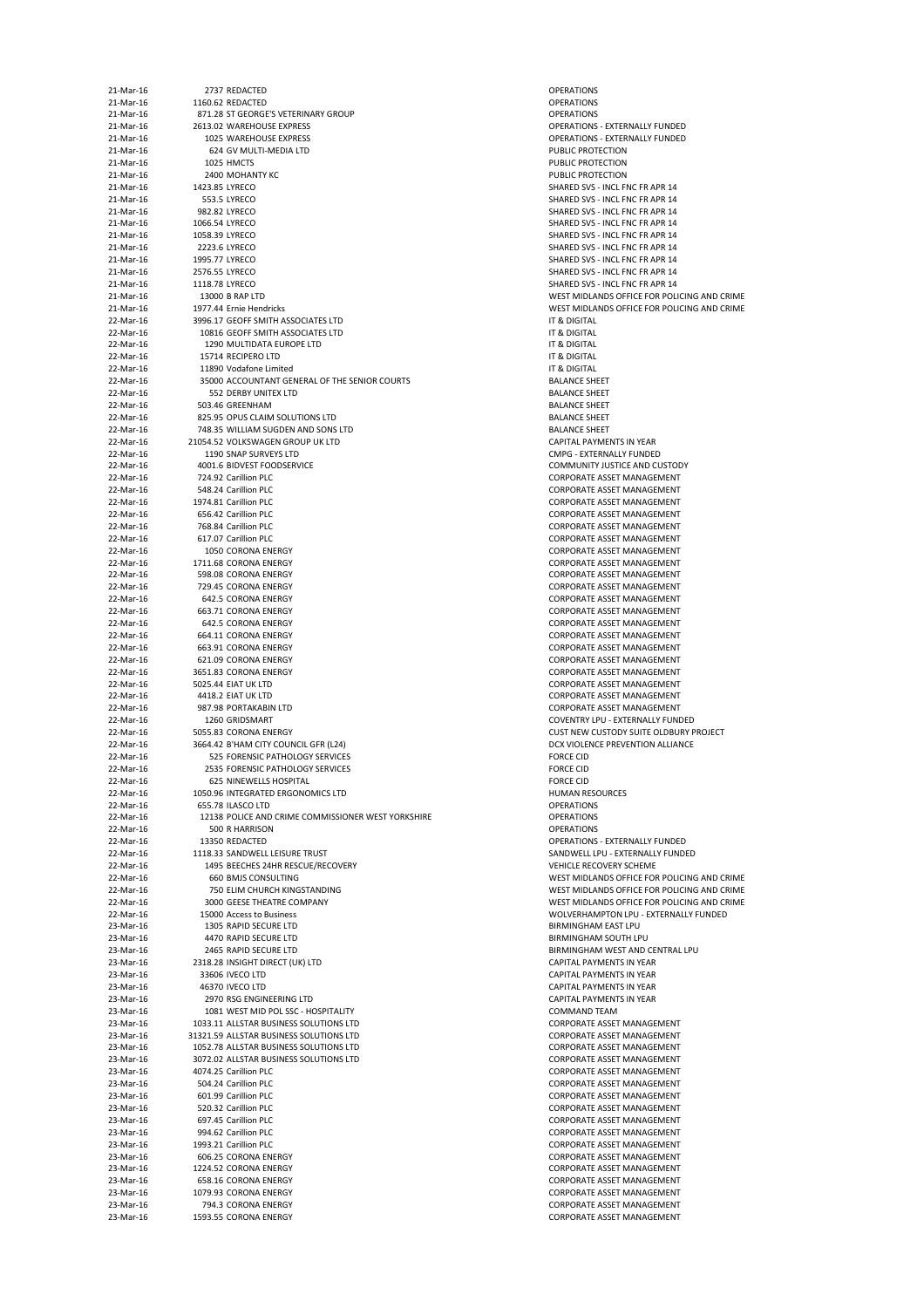| 21-Mar-16              | 2737 REDACTED                                                                    | <b>OPERATIONS</b>                        |
|------------------------|----------------------------------------------------------------------------------|------------------------------------------|
| 21-Mar-16<br>21-Mar-16 | 1160.62 REDACTED<br>871.28 ST GEORGE'S VETERINARY GROUP                          | <b>OPERATIONS</b><br><b>OPERATIONS</b>   |
| 21-Mar-16              | 2613.02 WAREHOUSE EXPRESS                                                        | <b>OPERATIONS</b>                        |
| 21-Mar-16              | 1025 WAREHOUSE EXPRESS                                                           | <b>OPERATIONS</b>                        |
| 21-Mar-16<br>21-Mar-16 | 624 GV MULTI-MEDIA LTD<br>1025 HMCTS                                             | <b>PUBLIC PROT</b><br><b>PUBLIC PROT</b> |
| 21-Mar-16              | 2400 MOHANTY KC                                                                  | <b>PUBLIC PROT</b>                       |
| 21-Mar-16              | 1423.85 LYRECO                                                                   | <b>SHARED SVS</b>                        |
| 21-Mar-16<br>21-Mar-16 | 553.5 LYRECO<br>982.82 LYRECO                                                    | <b>SHARED SVS</b><br><b>SHARED SVS</b>   |
| 21-Mar-16              | 1066.54 LYRECO                                                                   | <b>SHARED SVS</b>                        |
| 21-Mar-16              | 1058.39 LYRECO                                                                   | <b>SHARED SVS</b>                        |
| 21-Mar-16<br>21-Mar-16 | 2223.6 LYRECO<br>1995.77 LYRECO                                                  | <b>SHARED SVS</b><br><b>SHARED SVS</b>   |
| 21-Mar-16              | 2576.55 LYRECO                                                                   | <b>SHARED SVS</b>                        |
| 21-Mar-16              | 1118.78 LYRECO                                                                   | <b>SHARED SVS</b>                        |
| 21-Mar-16<br>21-Mar-16 | 13000 B RAP LTD<br>1977.44 Ernie Hendricks                                       | <b>WEST MIDLA</b><br><b>WEST MIDLA</b>   |
| 22-Mar-16              | 3996.17 GEOFF SMITH ASSOCIATES LTD                                               | IT & DIGITAL                             |
| 22-Mar-16              | 10816 GEOFF SMITH ASSOCIATES LTD                                                 | IT & DIGITAL                             |
| 22-Mar-16<br>22-Mar-16 | 1290 MULTIDATA EUROPE LTD<br>15714 RECIPERO LTD                                  | IT & DIGITAL<br>IT & DIGITAL             |
| 22-Mar-16              | 11890 Vodafone Limited                                                           | IT & DIGITAL                             |
| 22-Mar-16              | 35000 ACCOUNTANT GENERAL OF THE SENIOR COURTS                                    | <b>BALANCE SHI</b>                       |
| 22-Mar-16<br>22-Mar-16 | 552 DERBY UNITEX LTD<br>503.46 GREENHAM                                          | <b>BALANCE SHI</b><br><b>BALANCE SHI</b> |
| 22-Mar-16              | 825.95 OPUS CLAIM SOLUTIONS LTD                                                  | <b>BALANCE SHI</b>                       |
| 22-Mar-16<br>22-Mar-16 | 748.35 WILLIAM SUGDEN AND SONS LTD<br>21054.52 VOLKSWAGEN GROUP UK LTD           | <b>BALANCE SHI</b>                       |
| 22-Mar-16              | 1190 SNAP SURVEYS LTD                                                            | <b>CAPITAL PAY</b><br><b>CMPG - EXTE</b> |
| 22-Mar-16              | 4001.6 BIDVEST FOODSERVICE                                                       | <b>COMMUNITY</b>                         |
| 22-Mar-16              | 724.92 Carillion PLC                                                             | <b>CORPORATE</b>                         |
| 22-Mar-16<br>22-Mar-16 | 548.24 Carillion PLC<br>1974.81 Carillion PLC                                    | <b>CORPORATE</b><br><b>CORPORATE</b>     |
| 22-Mar-16              | 656.42 Carillion PLC                                                             | <b>CORPORATE</b>                         |
| 22-Mar-16              | 768.84 Carillion PLC<br>617.07 Carillion PLC                                     | <b>CORPORATE</b><br><b>CORPORATE</b>     |
| 22-Mar-16<br>22-Mar-16 | 1050 CORONA ENERGY                                                               | <b>CORPORATE</b>                         |
| 22-Mar-16              | 1711.68 CORONA ENERGY                                                            | <b>CORPORATE</b>                         |
| 22-Mar-16<br>22-Mar-16 | 598.08 CORONA ENERGY<br>729.45 CORONA ENERGY                                     | <b>CORPORATE</b><br><b>CORPORATE</b>     |
| 22-Mar-16              | 642.5 CORONA ENERGY                                                              | <b>CORPORATE</b>                         |
| 22-Mar-16              | 663.71 CORONA ENERGY                                                             | <b>CORPORATE</b>                         |
| 22-Mar-16<br>22-Mar-16 | 642.5 CORONA ENERGY<br>664.11 CORONA ENERGY                                      | <b>CORPORATE</b><br><b>CORPORATE</b>     |
| 22-Mar-16              | 663.91 CORONA ENERGY                                                             | <b>CORPORATE</b>                         |
| 22-Mar-16              | 621.09 CORONA ENERGY                                                             | <b>CORPORATE</b>                         |
| 22-Mar-16<br>22-Mar-16 | 3651.83 CORONA ENERGY<br>5025.44 EIAT UK LTD                                     | <b>CORPORATE</b><br><b>CORPORATE</b>     |
| 22-Mar-16              | 4418.2 EIAT UK LTD                                                               | <b>CORPORATE</b>                         |
| 22-Mar-16              | 987.98 PORTAKABIN LTD                                                            | <b>CORPORATE</b>                         |
| 22-Mar-16<br>22-Mar-16 | 1260 GRIDSMART<br>5055.83 CORONA ENERGY                                          | <b>COVENTRY LI</b><br><b>CUST NEW CI</b> |
| 22-Mar-16              | 3664.42 B'HAM CITY COUNCIL GFR (L24)                                             | <b>DCX VIOLENO</b>                       |
| 22-Mar-16              | 525 FORENSIC PATHOLOGY SERVICES                                                  | <b>FORCE CID</b>                         |
| 22-Mar-16<br>22-Mar-16 | 2535 FORENSIC PATHOLOGY SERVICES<br><b>625 NINEWELLS HOSPITAL</b>                | <b>FORCE CID</b><br><b>FORCE CID</b>     |
| 22-Mar-16              | 1050.96 INTEGRATED ERGONOMICS LTD                                                | <b>HUMAN RES</b>                         |
| 22-Mar-16<br>22-Mar-16 | 655.78 ILASCO LTD<br>12138 POLICE AND CRIME COMMISSIONER WEST YORKSHIRE          | <b>OPERATIONS</b><br><b>OPERATIONS</b>   |
| 22-Mar-16              | 500 R HARRISON                                                                   | <b>OPERATIONS</b>                        |
| 22-Mar-16              | 13350 REDACTED                                                                   | <b>OPERATIONS</b>                        |
| 22-Mar-16<br>22-Mar-16 | 1118.33 SANDWELL LEISURE TRUST<br>1495 BEECHES 24HR RESCUE/RECOVERY              | <b>SANDWELL L</b><br><b>VEHICLE REC</b>  |
| 22-Mar-16              | <b>660 BMJS CONSULTING</b>                                                       | <b>WEST MIDLA</b>                        |
| 22-Mar-16              | 750 ELIM CHURCH KINGSTANDING                                                     | <b>WEST MIDLA</b>                        |
| 22-Mar-16<br>22-Mar-16 | 3000 GEESE THEATRE COMPANY<br>15000 Access to Business                           | <b>WEST MIDLA</b><br><b>WOLVERHAN</b>    |
| 23-Mar-16              | 1305 RAPID SECURE LTD                                                            | <b>BIRMINGHAM</b>                        |
| 23-Mar-16              | 4470 RAPID SECURE LTD                                                            | <b>BIRMINGHAM</b>                        |
| 23-Mar-16<br>23-Mar-16 | 2465 RAPID SECURE LTD<br>2318.28 INSIGHT DIRECT (UK) LTD                         | <b>BIRMINGHAM</b><br><b>CAPITAL PAY</b>  |
| 23-Mar-16              | 33606 IVECO LTD                                                                  | <b>CAPITAL PAY</b>                       |
| 23-Mar-16              | 46370 IVECO LTD                                                                  | <b>CAPITAL PAY</b>                       |
| 23-Mar-16<br>23-Mar-16 | 2970 RSG ENGINEERING LTD<br>1081 WEST MID POL SSC - HOSPITALITY                  | <b>CAPITAL PAY</b><br><b>COMMAND</b>     |
| 23-Mar-16              | 1033.11 ALLSTAR BUSINESS SOLUTIONS LTD                                           | <b>CORPORATE</b>                         |
| 23-Mar-16              | 31321.59 ALLSTAR BUSINESS SOLUTIONS LTD                                          | <b>CORPORATE</b>                         |
| 23-Mar-16<br>23-Mar-16 | 1052.78 ALLSTAR BUSINESS SOLUTIONS LTD<br>3072.02 ALLSTAR BUSINESS SOLUTIONS LTD | <b>CORPORATE</b><br><b>CORPORATE</b>     |
| 23-Mar-16              | 4074.25 Carillion PLC                                                            | <b>CORPORATE</b>                         |
| 23-Mar-16              | 504.24 Carillion PLC                                                             | <b>CORPORATE</b>                         |
| 23-Mar-16<br>23-Mar-16 | 601.99 Carillion PLC<br>520.32 Carillion PLC                                     | <b>CORPORATE</b><br><b>CORPORATE</b>     |
| 23-Mar-16              | 697.45 Carillion PLC                                                             | <b>CORPORATE</b>                         |
| 23-Mar-16              | 994.62 Carillion PLC                                                             | <b>CORPORATE</b>                         |
| 23-Mar-16<br>23-Mar-16 | 1993.21 Carillion PLC<br>606.25 CORONA ENERGY                                    | <b>CORPORATE</b><br><b>CORPORATE</b>     |
| 23-Mar-16              | 1224.52 CORONA ENERGY                                                            | <b>CORPORATE</b>                         |
| 23-Mar-16              | 658.16 CORONA ENERGY                                                             | <b>CORPORATE</b>                         |
| 23-Mar-16<br>23-Mar-16 | 1079.93 CORONA ENERGY<br>794.3 CORONA ENERGY                                     | <b>CORPORATE</b><br><b>CORPORATE</b>     |
| 23-Mar-16              | 1593.55 CORONA ENERGY                                                            | <b>CORPORATE</b>                         |

OPERATIONS - EXTERNALLY FUNDED OPERATIONS - EXTERNALLY FUNDED PUBLIC PROTECTION PUBLIC PROTECTION PUBLIC PROTECTION SHARED SVS - INCL FNC FR APR 14 SHARED SVS - INCL FNC FR APR 14 SHARED SVS - INCL FNC FR APR 14 SHARED SVS - INCL FNC FR APR 14 SHARED SVS - INCL FNC FR APR 14 SHARED SVS - INCL FNC FR APR 14 SHARED SVS - INCL FNC FR APR 14 SHARED SVS - INCL FNC FR APR 14 SHARED SVS - INCL FNC FR APR 14 WEST MIDLANDS OFFICE FOR POLICING AND CRIME WEST MIDLANDS OFFICE FOR POLICING AND CRIME BALANCE SHEET BALANCE SHEET **BALANCE SHEET** BALANCE SHEET BALANCE SHEET CAPITAL PAYMENTS IN YEAR CMPG - EXTERNALLY FUNDED COMMUNITY JUSTICE AND CUSTODY CORPORATE ASSET MANAGEMENT CORPORATE ASSET MANAGEMENT CORPORATE ASSET MANAGEMENT CORPORATE ASSET MANAGEMENT CORPORATE ASSET MANAGEMENT CORPORATE ASSET MANAGEMENT CORPORATE ASSET MANAGEMENT CORPORATE ASSET MANAGEMENT CORPORATE ASSET MANAGEMENT CORPORATE ASSET MANAGEMENT CORPORATE ASSET MANAGEMENT CORPORATE ASSET MANAGEMENT CORPORATE ASSET MANAGEMENT CORPORATE ASSET MANAGEMENT CORPORATE ASSET MANAGEMENT CORPORATE ASSET MANAGEMENT CORPORATE ASSET MANAGEMENT CORPORATE ASSET MANAGEMENT CORPORATE ASSET MANAGEMENT CORPORATE ASSET MANAGEMENT COVENTRY LPU - EXTERNALLY FUNDED CUST NEW CUSTODY SUITE OLDBURY PROJECT DCX VIOLENCE PREVENTION ALLIANCE HUMAN RESOURCES OPERATIONS - EXTERNALLY FUNDED SANDWELL LPU - EXTERNALLY FUNDED VEHICLE RECOVERY SCHEME WEST MIDLANDS OFFICE FOR POLICING AND CRIME WEST MIDLANDS OFFICE FOR POLICING AND CRIME WEST MIDLANDS OFFICE FOR POLICING AND CRIME WOLVERHAMPTON LPU - EXTERNALLY FUNDED BIRMINGHAM EAST LPU BIRMINGHAM SOUTH LPU BIRMINGHAM WEST AND CENTRAL LPU CAPITAL PAYMENTS IN YEAR CAPITAL PAYMENTS IN YEAR CAPITAL PAYMENTS IN YEAR CAPITAL PAYMENTS IN YEAR COMMAND TEAM CORPORATE ASSET MANAGEMENT CORPORATE ASSET MANAGEMENT CORPORATE ASSET MANAGEMENT CORPORATE ASSET MANAGEMENT CORPORATE ASSET MANAGEMENT CORPORATE ASSET MANAGEMENT CORPORATE ASSET MANAGEMENT CORPORATE ASSET MANAGEMENT CORPORATE ASSET MANAGEMENT CORPORATE ASSET MANAGEMENT CORPORATE ASSET MANAGEMENT CORPORATE ASSET MANAGEMENT CORPORATE ASSET MANAGEMENT CORPORATE ASSET MANAGEMENT CORPORATE ASSET MANAGEMENT CORPORATE ASSET MANAGEMENT CORPORATE ASSET MANAGEMENT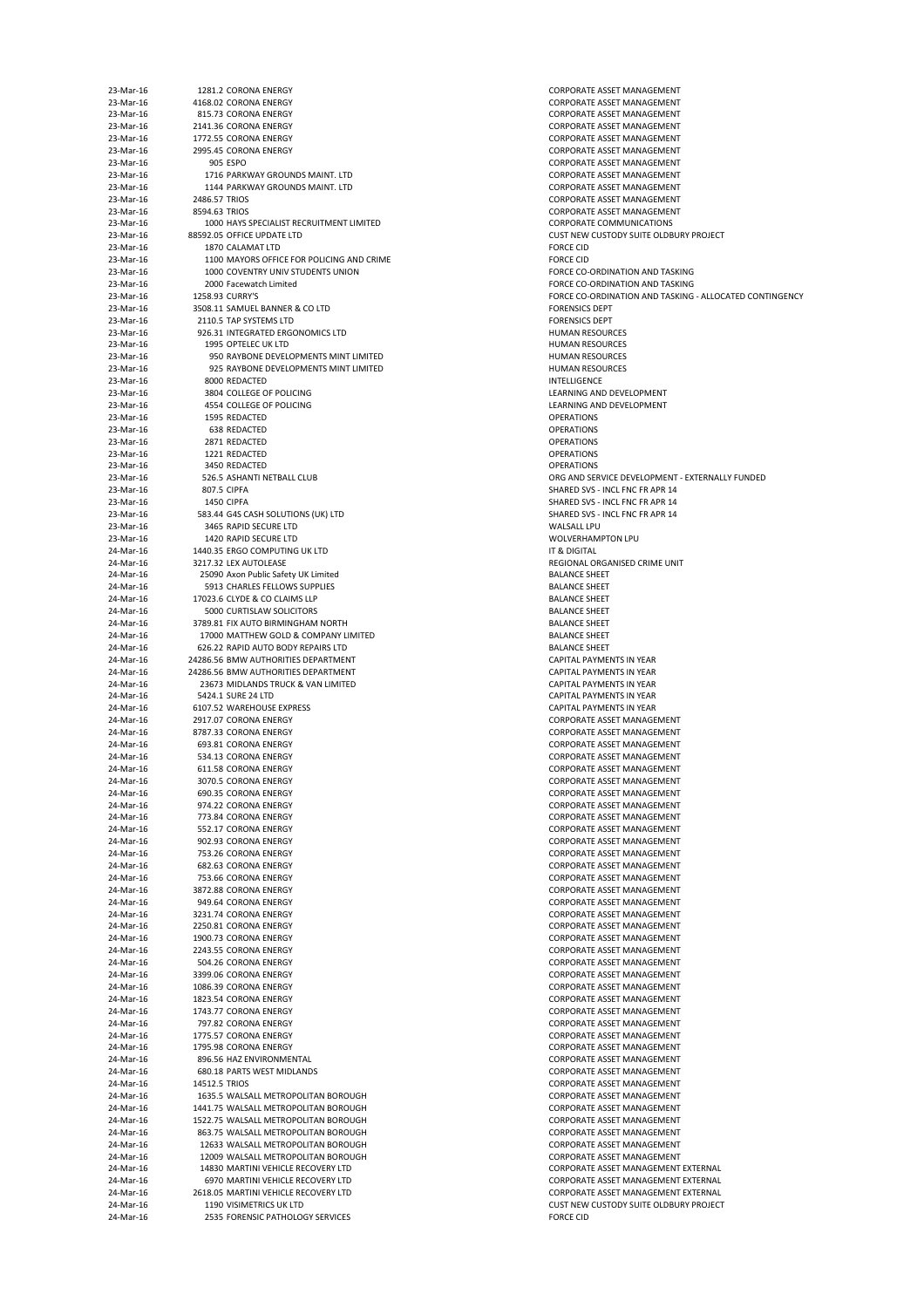| 23-Mar-16 |               | 1281.2 CORONA ENERGY                      | <b>CORPORATE A</b>  |
|-----------|---------------|-------------------------------------------|---------------------|
|           |               |                                           |                     |
| 23-Mar-16 |               | 4168.02 CORONA ENERGY                     | <b>CORPORATE A</b>  |
| 23-Mar-16 |               | 815.73 CORONA ENERGY                      | <b>CORPORATE A</b>  |
| 23-Mar-16 |               | 2141.36 CORONA ENERGY                     | <b>CORPORATE A</b>  |
| 23-Mar-16 |               | 1772.55 CORONA ENERGY                     | <b>CORPORATE A</b>  |
| 23-Mar-16 |               | 2995.45 CORONA ENERGY                     | <b>CORPORATE A</b>  |
| 23-Mar-16 |               | 905 ESPO                                  | <b>CORPORATE A</b>  |
| 23-Mar-16 |               | 1716 PARKWAY GROUNDS MAINT. LTD           | <b>CORPORATE A</b>  |
| 23-Mar-16 |               | 1144 PARKWAY GROUNDS MAINT. LTD           | <b>CORPORATE A</b>  |
| 23-Mar-16 | 2486.57 TRIOS |                                           | <b>CORPORATE A</b>  |
| 23-Mar-16 | 8594.63 TRIOS |                                           | <b>CORPORATE A</b>  |
|           |               |                                           | <b>CORPORATE C</b>  |
| 23-Mar-16 |               | 1000 HAYS SPECIALIST RECRUITMENT LIMITED  |                     |
| 23-Mar-16 |               | 88592.05 OFFICE UPDATE LTD                | <b>CUST NEW CU</b>  |
| 23-Mar-16 |               | 1870 CALAMAT LTD                          | <b>FORCE CID</b>    |
| 23-Mar-16 |               | 1100 MAYORS OFFICE FOR POLICING AND CRIME | <b>FORCE CID</b>    |
| 23-Mar-16 |               | 1000 COVENTRY UNIV STUDENTS UNION         | <b>FORCE CO-OR</b>  |
| 23-Mar-16 |               | 2000 Facewatch Limited                    | <b>FORCE CO-OR</b>  |
| 23-Mar-16 |               | 1258.93 CURRY'S                           | <b>FORCE CO-OR</b>  |
| 23-Mar-16 |               | 3508.11 SAMUEL BANNER & CO LTD            | <b>FORENSICS DE</b> |
| 23-Mar-16 |               | 2110.5 TAP SYSTEMS LTD                    | <b>FORENSICS DE</b> |
| 23-Mar-16 |               | 926.31 INTEGRATED ERGONOMICS LTD          | <b>HUMAN RESO</b>   |
| 23-Mar-16 |               | 1995 OPTELEC UK LTD                       | <b>HUMAN RESO</b>   |
| 23-Mar-16 |               | 950 RAYBONE DEVELOPMENTS MINT LIMITED     | <b>HUMAN RESO</b>   |
|           |               |                                           |                     |
| 23-Mar-16 |               | 925 RAYBONE DEVELOPMENTS MINT LIMITED     | <b>HUMAN RESO</b>   |
| 23-Mar-16 |               | 8000 REDACTED                             | <b>INTELLIGENCE</b> |
| 23-Mar-16 |               | 3804 COLLEGE OF POLICING                  | <b>LEARNING AN</b>  |
| 23-Mar-16 |               | 4554 COLLEGE OF POLICING                  | <b>LEARNING AN</b>  |
| 23-Mar-16 |               | 1595 REDACTED                             | <b>OPERATIONS</b>   |
| 23-Mar-16 |               | 638 REDACTED                              | <b>OPERATIONS</b>   |
| 23-Mar-16 |               | 2871 REDACTED                             | <b>OPERATIONS</b>   |
| 23-Mar-16 |               | 1221 REDACTED                             | <b>OPERATIONS</b>   |
| 23-Mar-16 |               | 3450 REDACTED                             | <b>OPERATIONS</b>   |
| 23-Mar-16 |               | 526.5 ASHANTI NETBALL CLUB                | ORG AND SERY        |
| 23-Mar-16 |               | 807.5 CIPFA                               | <b>SHARED SVS -</b> |
| 23-Mar-16 |               | 1450 CIPFA                                | <b>SHARED SVS -</b> |
| 23-Mar-16 |               | 583.44 G4S CASH SOLUTIONS (UK) LTD        | <b>SHARED SVS -</b> |
|           |               |                                           |                     |
| 23-Mar-16 |               | 3465 RAPID SECURE LTD                     | <b>WALSALL LPU</b>  |
| 23-Mar-16 |               | 1420 RAPID SECURE LTD                     | <b>WOLVERHAM</b>    |
| 24-Mar-16 |               | 1440.35 ERGO COMPUTING UK LTD             | IT & DIGITAL        |
| 24-Mar-16 |               | 3217.32 LEX AUTOLEASE                     | <b>REGIONAL OR</b>  |
| 24-Mar-16 |               | 25090 Axon Public Safety UK Limited       | <b>BALANCE SHE</b>  |
| 24-Mar-16 |               | 5913 CHARLES FELLOWS SUPPLIES             | <b>BALANCE SHE</b>  |
| 24-Mar-16 |               | 17023.6 CLYDE & CO CLAIMS LLP             | <b>BALANCE SHE</b>  |
| 24-Mar-16 |               | 5000 CURTISLAW SOLICITORS                 | <b>BALANCE SHEI</b> |
| 24-Mar-16 |               | 3789.81 FIX AUTO BIRMINGHAM NORTH         | <b>BALANCE SHEI</b> |
| 24-Mar-16 |               | 17000 MATTHEW GOLD & COMPANY LIMITED      | <b>BALANCE SHEI</b> |
| 24-Mar-16 |               | 626.22 RAPID AUTO BODY REPAIRS LTD        | <b>BALANCE SHE</b>  |
|           |               |                                           |                     |
| 24-Mar-16 |               | 24286.56 BMW AUTHORITIES DEPARTMENT       | <b>CAPITAL PAYN</b> |
| 24-Mar-16 |               | 24286.56 BMW AUTHORITIES DEPARTMENT       | <b>CAPITAL PAYN</b> |
| 24-Mar-16 |               | 23673 MIDLANDS TRUCK & VAN LIMITED        | <b>CAPITAL PAYN</b> |
| 24-Mar-16 |               | 5424.1 SURE 24 LTD                        | <b>CAPITAL PAYN</b> |
| 24-Mar-16 |               | 6107.52 WAREHOUSE EXPRESS                 | <b>CAPITAL PAYN</b> |
| 24-Mar-16 |               | 2917.07 CORONA ENERGY                     | <b>CORPORATE A</b>  |
| 24-Mar-16 |               | 8787.33 CORONA ENERGY                     | <b>CORPORATE A</b>  |
| 24-Mar-16 |               | 693.81 CORONA ENERGY                      | <b>CORPORATE A</b>  |
| 24-Mar-16 |               | 534.13 CORONA ENERGY                      | <b>CORPORATE A</b>  |
| 24-Mar-16 |               | 611.58 CORONA ENERGY                      | <b>CORPORATE A</b>  |
| 24-Mar-16 |               | 3070.5 CORONA ENERGY                      | <b>CORPORATE A</b>  |
| 24-Mar-16 |               |                                           |                     |
|           |               | 690.35 CORONA ENERGY                      | <b>CORPORATE A</b>  |
| 24-Mar-16 |               | 974.22 CORONA ENERGY                      | <b>CORPORATE A</b>  |
| 24-Mar-16 |               | 773.84 CORONA ENERGY                      | <b>CORPORATE A</b>  |
| 24-Mar-16 |               | 552.17 CORONA ENERGY                      | <b>CORPORATE A</b>  |
| 24-Mar-16 |               | 902.93 CORONA ENERGY                      | <b>CORPORATE A</b>  |
| 24-Mar-16 |               | 753.26 CORONA ENERGY                      | <b>CORPORATE A</b>  |
| 24-Mar-16 |               | 682.63 CORONA ENERGY                      | <b>CORPORATE A</b>  |
| 24-Mar-16 |               | 753.66 CORONA ENERGY                      | <b>CORPORATE A</b>  |
| 24-Mar-16 |               | 3872.88 CORONA ENERGY                     | <b>CORPORATE A</b>  |
| 24-Mar-16 |               | 949.64 CORONA ENERGY                      | <b>CORPORATE A</b>  |
| 24-Mar-16 |               | 3231.74 CORONA ENERGY                     | <b>CORPORATE A</b>  |
|           |               |                                           |                     |
| 24-Mar-16 |               | 2250.81 CORONA ENERGY                     | <b>CORPORATE A</b>  |
| 24-Mar-16 |               | 1900.73 CORONA ENERGY                     | <b>CORPORATE A</b>  |
| 24-Mar-16 |               | 2243.55 CORONA ENERGY                     | <b>CORPORATE A</b>  |
| 24-Mar-16 |               | 504.26 CORONA ENERGY                      | <b>CORPORATE A</b>  |
| 24-Mar-16 |               | 3399.06 CORONA ENERGY                     | <b>CORPORATE A</b>  |
| 24-Mar-16 |               | 1086.39 CORONA ENERGY                     | <b>CORPORATE A</b>  |
| 24-Mar-16 |               | 1823.54 CORONA ENERGY                     | <b>CORPORATE A</b>  |
| 24-Mar-16 |               | 1743.77 CORONA ENERGY                     | <b>CORPORATE A</b>  |
| 24-Mar-16 |               | 797.82 CORONA ENERGY                      | <b>CORPORATE A</b>  |
| 24-Mar-16 |               | 1775.57 CORONA ENERGY                     | <b>CORPORATE A</b>  |
| 24-Mar-16 |               | 1795.98 CORONA ENERGY                     | <b>CORPORATE A</b>  |
| 24-Mar-16 |               | 896.56 HAZ ENVIRONMENTAL                  | <b>CORPORATE A</b>  |
|           |               |                                           |                     |
| 24-Mar-16 |               | 680.18 PARTS WEST MIDLANDS                | <b>CORPORATE A</b>  |
| 24-Mar-16 | 14512.5 TRIOS |                                           | <b>CORPORATE A</b>  |
| 24-Mar-16 |               | 1635.5 WALSALL METROPOLITAN BOROUGH       | <b>CORPORATE A</b>  |
| 24-Mar-16 |               | 1441.75 WALSALL METROPOLITAN BOROUGH      | <b>CORPORATE A</b>  |
| 24-Mar-16 |               | 1522.75 WALSALL METROPOLITAN BOROUGH      | <b>CORPORATE A</b>  |
| 24-Mar-16 |               | 863.75 WALSALL METROPOLITAN BOROUGH       | <b>CORPORATE A</b>  |
| 24-Mar-16 |               | 12633 WALSALL METROPOLITAN BOROUGH        | <b>CORPORATE A</b>  |
| 24-Mar-16 |               | 12009 WALSALL METROPOLITAN BOROUGH        | <b>CORPORATE A</b>  |
| 24-Mar-16 |               | 14830 MARTINI VEHICLE RECOVERY LTD        | <b>CORPORATE A</b>  |
| 24-Mar-16 |               | 6970 MARTINI VEHICLE RECOVERY LTD         | <b>CORPORATE A</b>  |
|           |               |                                           |                     |
| 24-Mar-16 |               | 2618.05 MARTINI VEHICLE RECOVERY LTD      | <b>CORPORATE A</b>  |
| 24-Mar-16 |               | 1190 VISIMETRICS UK LTD                   | <b>CUST NEW CU</b>  |
| 24-Mar-16 |               | 2535 FORENSIC PATHOLOGY SERVICES          | <b>FORCE CID</b>    |

CORPORATE ASSET MANAGEMENT CORPORATE ASSET MANAGEMENT CORPORATE ASSET MANAGEMENT CORPORATE ASSET MANAGEMENT CORPORATE ASSET MANAGEMENT CORPORATE ASSET MANAGEMENT CORPORATE ASSET MANAGEMENT CORPORATE ASSET MANAGEMENT CORPORATE ASSET MANAGEMENT CORPORATE ASSET MANAGEMENT CORPORATE ASSET MANAGEMENT CORPORATE COMMUNICATIONS CUST NEW CUSTODY SUITE OLDBURY PROJECT FORCE CO-ORDINATION AND TASKING FORCE CO-ORDINATION AND TASKING FORCE CO-ORDINATION AND TASKING - ALLOCATED CONTINGENCY FORENSICS DEPT FORENSICS DEPT HUMAN RESOURCES **HUMAN RESOURCES HUMAN RESOURCES** HUMAN RESOURCES LEARNING AND DEVELOPMENT LEARNING AND DEVELOPMENT ORG AND SERVICE DEVELOPMENT - EXTERNALLY FUNDED SHARED SVS - INCL FNC FR APR 14 SHARED SVS - INCL FNC FR APR 14 SHARED SVS - INCL FNC FR APR 14 WOLVERHAMPTON LPU REGIONAL ORGANISED CRIME UNIT BALANCE SHEET BALANCE SHEET BALANCE SHEET BALANCE SHEET BALANCE SHEET BALANCE SHEET BALANCE SHEET CAPITAL PAYMENTS IN YEAR CAPITAL PAYMENTS IN YEAR CAPITAL PAYMENTS IN YEAR CAPITAL PAYMENTS IN YEAR CAPITAL PAYMENTS IN YEAR CORPORATE ASSET MANAGEMENT CORPORATE ASSET MANAGEMENT CORPORATE ASSET MANAGEMENT CORPORATE ASSET MANAGEMENT CORPORATE ASSET MANAGEMENT CORPORATE ASSET MANAGEMENT CORPORATE ASSET MANAGEMENT CORPORATE ASSET MANAGEMENT CORPORATE ASSET MANAGEMENT CORPORATE ASSET MANAGEMENT CORPORATE ASSET MANAGEMENT CORPORATE ASSET MANAGEMENT CORPORATE ASSET MANAGEMENT CORPORATE ASSET MANAGEMENT CORPORATE ASSET MANAGEMENT CORPORATE ASSET MANAGEMENT CORPORATE ASSET MANAGEMENT CORPORATE ASSET MANAGEMENT CORPORATE ASSET MANAGEMENT CORPORATE ASSET MANAGEMENT CORPORATE ASSET MANAGEMENT CORPORATE ASSET MANAGEMENT CORPORATE ASSET MANAGEMENT CORPORATE ASSET MANAGEMENT CORPORATE ASSET MANAGEMENT CORPORATE ASSET MANAGEMENT CORPORATE ASSET MANAGEMENT CORPORATE ASSET MANAGEMENT CORPORATE ASSET MANAGEMENT CORPORATE ASSET MANAGEMENT CORPORATE ASSET MANAGEMENT CORPORATE ASSET MANAGEMENT CORPORATE ASSET MANAGEMENT CORPORATE ASSET MANAGEMENT CORPORATE ASSET MANAGEMENT CORPORATE ASSET MANAGEMENT CORPORATE ASSET MANAGEMENT CORPORATE ASSET MANAGEMENT EXTERNAL CORPORATE ASSET MANAGEMENT EXTERNAL CORPORATE ASSET MANAGEMENT EXTERNAL CUST NEW CUSTODY SUITE OLDBURY PROJECT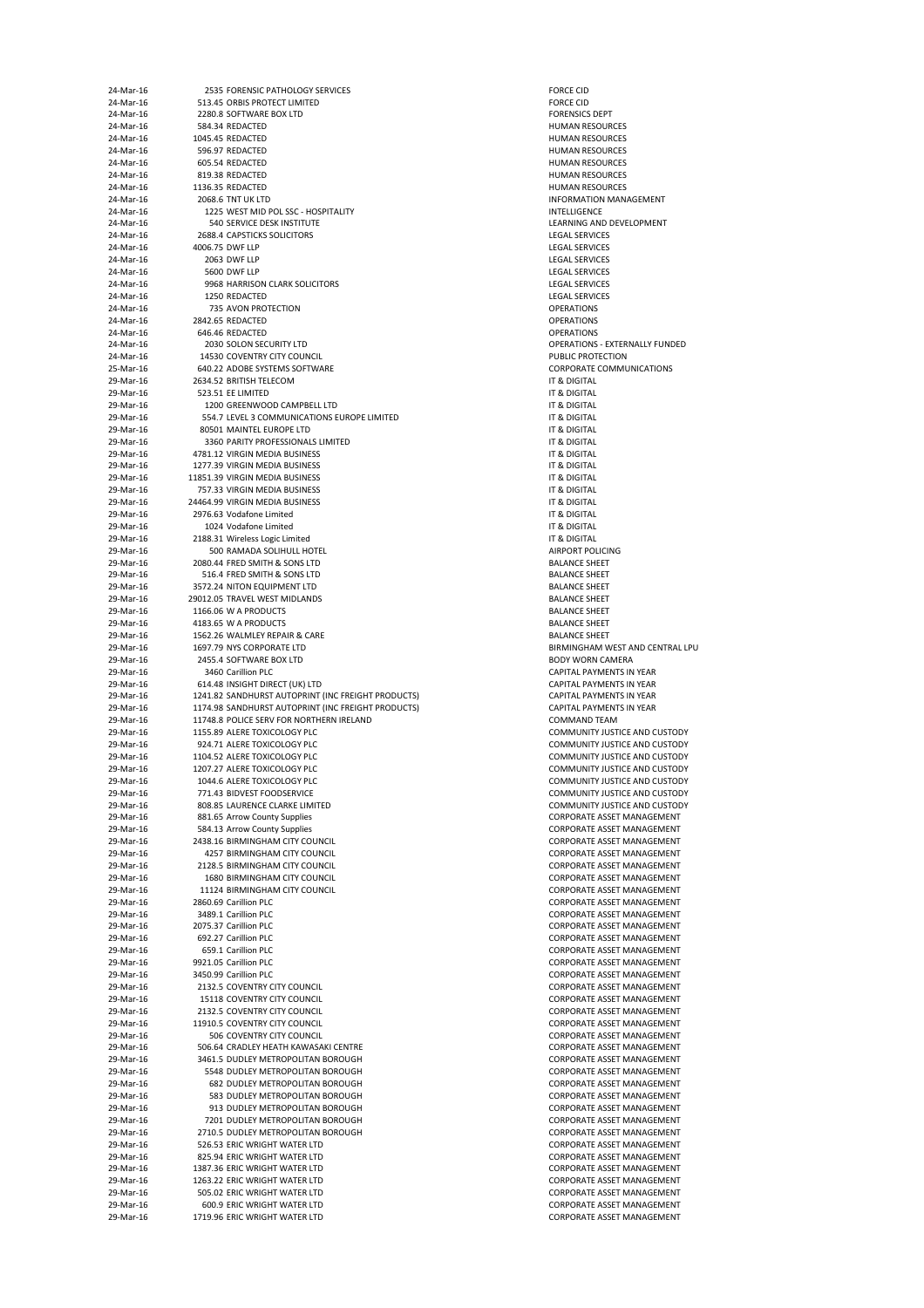| 24-Mar-16              | 2535 FORENSIC PATHOLOGY SERVICES                                           | <b>FORCE CID</b>                           |
|------------------------|----------------------------------------------------------------------------|--------------------------------------------|
| 24-Mar-16              | 513.45 ORBIS PROTECT LIMITED                                               | <b>FORCE CID</b>                           |
| 24-Mar-16<br>24-Mar-16 | 2280.8 SOFTWARE BOX LTD<br>584.34 REDACTED                                 | <b>FORENSICS DE</b><br><b>HUMAN RESO</b>   |
| 24-Mar-16              | 1045.45 REDACTED                                                           | <b>HUMAN RESO</b>                          |
| 24-Mar-16              | 596.97 REDACTED                                                            | <b>HUMAN RESO</b>                          |
| 24-Mar-16              | 605.54 REDACTED                                                            | <b>HUMAN RESO</b>                          |
| 24-Mar-16              | 819.38 REDACTED                                                            | <b>HUMAN RESO</b>                          |
| 24-Mar-16              | 1136.35 REDACTED                                                           | <b>HUMAN RESO</b>                          |
| 24-Mar-16              | 2068.6 TNT UK LTD                                                          | <b>INFORMATION</b>                         |
| 24-Mar-16              | 1225 WEST MID POL SSC - HOSPITALITY                                        | <b>INTELLIGENCE</b>                        |
| 24-Mar-16              | 540 SERVICE DESK INSTITUTE                                                 | <b>LEARNING AN</b>                         |
| 24-Mar-16              | 2688.4 CAPSTICKS SOLICITORS                                                | <b>LEGAL SERVIC</b>                        |
| 24-Mar-16<br>24-Mar-16 | 4006.75 DWF LLP<br>2063 DWF LLP                                            | <b>LEGAL SERVIC</b><br><b>LEGAL SERVIC</b> |
| 24-Mar-16              | 5600 DWF LLP                                                               | <b>LEGAL SERVIC</b>                        |
| 24-Mar-16              | 9968 HARRISON CLARK SOLICITORS                                             | <b>LEGAL SERVIC</b>                        |
| 24-Mar-16              | 1250 REDACTED                                                              | <b>LEGAL SERVIC</b>                        |
| 24-Mar-16              | 735 AVON PROTECTION                                                        | <b>OPERATIONS</b>                          |
| 24-Mar-16              | 2842.65 REDACTED                                                           | <b>OPERATIONS</b>                          |
| 24-Mar-16              | 646.46 REDACTED                                                            | <b>OPERATIONS</b>                          |
| 24-Mar-16              | 2030 SOLON SECURITY LTD                                                    | <b>OPERATIONS -</b>                        |
| 24-Mar-16              | 14530 COVENTRY CITY COUNCIL                                                | <b>PUBLIC PROTE</b>                        |
| 25-Mar-16              | 640.22 ADOBE SYSTEMS SOFTWARE                                              | <b>CORPORATE C</b>                         |
| 29-Mar-16<br>29-Mar-16 | 2634.52 BRITISH TELECOM<br>523.51 EE LIMITED                               | IT & DIGITAL<br>IT & DIGITAL               |
| 29-Mar-16              | 1200 GREENWOOD CAMPBELL LTD                                                | IT & DIGITAL                               |
| 29-Mar-16              | 554.7 LEVEL 3 COMMUNICATIONS EUROPE LIMITED                                | IT & DIGITAL                               |
| 29-Mar-16              | 80501 MAINTEL EUROPE LTD                                                   | IT & DIGITAL                               |
| 29-Mar-16              | 3360 PARITY PROFESSIONALS LIMITED                                          | IT & DIGITAL                               |
| 29-Mar-16              | 4781.12 VIRGIN MEDIA BUSINESS                                              | IT & DIGITAL                               |
| 29-Mar-16              | 1277.39 VIRGIN MEDIA BUSINESS                                              | IT & DIGITAL                               |
| 29-Mar-16              | 11851.39 VIRGIN MEDIA BUSINESS                                             | IT & DIGITAL                               |
| 29-Mar-16              | 757.33 VIRGIN MEDIA BUSINESS                                               | IT & DIGITAL                               |
| 29-Mar-16              | 24464.99 VIRGIN MEDIA BUSINESS                                             | IT & DIGITAL                               |
| 29-Mar-16<br>29-Mar-16 | 2976.63 Vodafone Limited<br>1024 Vodafone Limited                          | IT & DIGITAL<br>IT & DIGITAL               |
| 29-Mar-16              | 2188.31 Wireless Logic Limited                                             | IT & DIGITAL                               |
| 29-Mar-16              | 500 RAMADA SOLIHULL HOTEL                                                  | <b>AIRPORT POLI</b>                        |
| 29-Mar-16              | 2080.44 FRED SMITH & SONS LTD                                              | <b>BALANCE SHEI</b>                        |
| 29-Mar-16              | 516.4 FRED SMITH & SONS LTD                                                | <b>BALANCE SHEI</b>                        |
| 29-Mar-16              | 3572.24 NITON EQUIPMENT LTD                                                | <b>BALANCE SHEI</b>                        |
| 29-Mar-16              | 29012.05 TRAVEL WEST MIDLANDS                                              | <b>BALANCE SHEI</b>                        |
| 29-Mar-16              | 1166.06 W A PRODUCTS                                                       | <b>BALANCE SHE</b>                         |
| 29-Mar-16              | 4183.65 W A PRODUCTS                                                       | <b>BALANCE SHEI</b>                        |
| 29-Mar-16              | 1562.26 WALMLEY REPAIR & CARE                                              | <b>BALANCE SHE</b>                         |
| 29-Mar-16<br>29-Mar-16 | 1697.79 NYS CORPORATE LTD<br>2455.4 SOFTWARE BOX LTD                       | <b>BIRMINGHAM</b><br><b>BODY WORN (</b>    |
| 29-Mar-16              | 3460 Carillion PLC                                                         | <b>CAPITAL PAYN</b>                        |
| 29-Mar-16              | 614.48 INSIGHT DIRECT (UK) LTD                                             | <b>CAPITAL PAYN</b>                        |
| 29-Mar-16              | 1241.82 SANDHURST AUTOPRINT (INC FREIGHT PRODUCTS)                         | <b>CAPITAL PAYN</b>                        |
| 29-Mar-16              | 1174.98 SANDHURST AUTOPRINT (INC FREIGHT PRODUCTS)                         | <b>CAPITAL PAYN</b>                        |
| 29-Mar-16              | 11748.8 POLICE SERV FOR NORTHERN IRELAND                                   | <b>COMMAND TI</b>                          |
| 29-Mar-16              | 1155.89 ALERE TOXICOLOGY PLC                                               | <b>COMMUNITY</b>                           |
| 29-Mar-16              | 924.71 ALERE TOXICOLOGY PLC                                                | <b>COMMUNITY</b>                           |
| 29-Mar-16              | 1104.52 ALERE TOXICOLOGY PLC                                               | <b>COMMUNITY</b>                           |
| 29-Mar-16              | 1207.27 ALERE TOXICOLOGY PLC                                               | <b>COMMUNITY</b>                           |
| 29-Mar-16<br>29-Mar-16 | 1044.6 ALERE TOXICOLOGY PLC<br>771.43 BIDVEST FOODSERVICE                  | <b>COMMUNITY</b><br><b>COMMUNITY</b>       |
| 29-Mar-16              | 808.85 LAURENCE CLARKE LIMITED                                             | <b>COMMUNITY</b>                           |
| 29-Mar-16              | 881.65 Arrow County Supplies                                               | <b>CORPORATE A</b>                         |
| 29-Mar-16              | 584.13 Arrow County Supplies                                               | <b>CORPORATE A</b>                         |
| 29-Mar-16              | 2438.16 BIRMINGHAM CITY COUNCIL                                            | <b>CORPORATE A</b>                         |
| 29-Mar-16              | 4257 BIRMINGHAM CITY COUNCIL                                               | <b>CORPORATE A</b>                         |
| 29-Mar-16              | 2128.5 BIRMINGHAM CITY COUNCIL                                             | <b>CORPORATE A</b>                         |
| 29-Mar-16              | 1680 BIRMINGHAM CITY COUNCIL                                               | <b>CORPORATE A</b>                         |
| 29-Mar-16              | 11124 BIRMINGHAM CITY COUNCIL                                              | <b>CORPORATE A</b>                         |
| 29-Mar-16              | 2860.69 Carillion PLC<br>3489.1 Carillion PLC                              | <b>CORPORATE A</b><br><b>CORPORATE A</b>   |
| 29-Mar-16<br>29-Mar-16 | 2075.37 Carillion PLC                                                      | <b>CORPORATE A</b>                         |
| 29-Mar-16              | 692.27 Carillion PLC                                                       | <b>CORPORATE A</b>                         |
| 29-Mar-16              | 659.1 Carillion PLC                                                        | <b>CORPORATE A</b>                         |
| 29-Mar-16              | 9921.05 Carillion PLC                                                      | <b>CORPORATE A</b>                         |
| 29-Mar-16              | 3450.99 Carillion PLC                                                      | <b>CORPORATE A</b>                         |
| 29-Mar-16              | 2132.5 COVENTRY CITY COUNCIL                                               | <b>CORPORATE A</b>                         |
| 29-Mar-16              | 15118 COVENTRY CITY COUNCIL                                                | <b>CORPORATE A</b>                         |
| 29-Mar-16              | 2132.5 COVENTRY CITY COUNCIL                                               | <b>CORPORATE A</b>                         |
| 29-Mar-16              | 11910.5 COVENTRY CITY COUNCIL                                              | <b>CORPORATE A</b>                         |
| 29-Mar-16              | 506 COVENTRY CITY COUNCIL                                                  | <b>CORPORATE A</b>                         |
| 29-Mar-16<br>29-Mar-16 | 506.64 CRADLEY HEATH KAWASAKI CENTRE<br>3461.5 DUDLEY METROPOLITAN BOROUGH | <b>CORPORATE A</b><br><b>CORPORATE A</b>   |
| 29-Mar-16              | 5548 DUDLEY METROPOLITAN BOROUGH                                           | <b>CORPORATE A</b>                         |
| 29-Mar-16              | <b>682 DUDLEY METROPOLITAN BOROUGH</b>                                     | <b>CORPORATE A</b>                         |
| 29-Mar-16              | 583 DUDLEY METROPOLITAN BOROUGH                                            | <b>CORPORATE A</b>                         |
| 29-Mar-16              | 913 DUDLEY METROPOLITAN BOROUGH                                            | <b>CORPORATE A</b>                         |
| 29-Mar-16              | 7201 DUDLEY METROPOLITAN BOROUGH                                           | <b>CORPORATE A</b>                         |
| 29-Mar-16              | 2710.5 DUDLEY METROPOLITAN BOROUGH                                         | <b>CORPORATE A</b>                         |
| 29-Mar-16              | 526.53 ERIC WRIGHT WATER LTD                                               | <b>CORPORATE A</b>                         |
| 29-Mar-16              | 825.94 ERIC WRIGHT WATER LTD                                               | <b>CORPORATE A</b>                         |
| 29-Mar-16              | 1387.36 ERIC WRIGHT WATER LTD                                              | <b>CORPORATE A</b>                         |
| 29-Mar-16              | 1263.22 ERIC WRIGHT WATER LTD                                              | <b>CORPORATE A</b>                         |
| 29-Mar-16<br>29-Mar-16 | 505.02 ERIC WRIGHT WATER LTD<br>600.9 ERIC WRIGHT WATER LTD                | <b>CORPORATE A</b><br><b>CORPORATE A</b>   |
| 29-Mar-16              | 1719.96 ERIC WRIGHT WATER LTD                                              | <b>CORPORATE A</b>                         |
|                        |                                                                            |                                            |

FORENSICS DEPT HUMAN RESOURCES HUMAN RESOURCES **HUMAN RESOURCES HUMAN RESOURCES** HUMAN RESOURCES HUMAN RESOURCES INFORMATION MANAGEMENT LEARNING AND DEVELOPMENT LEGAL SERVICES LEGAL SERVICES LEGAL SERVICES LEGAL SERVICES LEGAL SERVICES LEGAL SERVICES OPERATIONS - EXTERNALLY FUNDED PUBLIC PROTECTION CORPORATE COMMUNICATIONS AIRPORT POLICING BALANCE SHEET BALANCE SHEET BALANCE SHEET BALANCE SHEET **BALANCE SHEET BALANCE SHEET** BALANCE SHEET BIRMINGHAM WEST AND CENTRAL LPU BODY WORN CAMERA CAPITAL PAYMENTS IN YEAR CAPITAL PAYMENTS IN YEAR 29-Martin 20-Mart-16 1241.82 SANDHURS AUTOR (INC FREE GAPITAL PAYMENTS IN YEAR 29-Martin 20-Mar-16 1174.98 SANDHURST AUTOR (INC FREE GAPITAL PAYMENTS IN YEAR COMMAND TEAM COMMUNITY JUSTICE AND CUSTODY COMMUNITY JUSTICE AND CUSTODY COMMUNITY JUSTICE AND CUSTODY COMMUNITY JUSTICE AND CUSTODY COMMUNITY JUSTICE AND CUSTODY COMMUNITY JUSTICE AND CUSTODY COMMUNITY JUSTICE AND CUSTODY CORPORATE ASSET MANAGEMENT CORPORATE ASSET MANAGEMENT CORPORATE ASSET MANAGEMENT CORPORATE ASSET MANAGEMENT CORPORATE ASSET MANAGEMENT CORPORATE ASSET MANAGEMENT CORPORATE ASSET MANAGEMENT CORPORATE ASSET MANAGEMENT CORPORATE ASSET MANAGEMENT CORPORATE ASSET MANAGEMENT CORPORATE ASSET MANAGEMENT CORPORATE ASSET MANAGEMENT CORPORATE ASSET MANAGEMENT CORPORATE ASSET MANAGEMENT CORPORATE ASSET MANAGEMENT CORPORATE ASSET MANAGEMENT CORPORATE ASSET MANAGEMENT CORPORATE ASSET MANAGEMENT CORPORATE ASSET MANAGEMENT CORPORATE ASSET MANAGEMENT CORPORATE ASSET MANAGEMENT CORPORATE ASSET MANAGEMENT CORPORATE ASSET MANAGEMENT CORPORATE ASSET MANAGEMENT CORPORATE ASSET MANAGEMENT CORPORATE ASSET MANAGEMENT CORPORATE ASSET MANAGEMENT CORPORATE ASSET MANAGEMENT CORPORATE ASSET MANAGEMENT CORPORATE ASSET MANAGEMENT CORPORATE ASSET MANAGEMENT CORPORATE ASSET MANAGEMENT CORPORATE ASSET MANAGEMENT CORPORATE ASSET MANAGEMENT